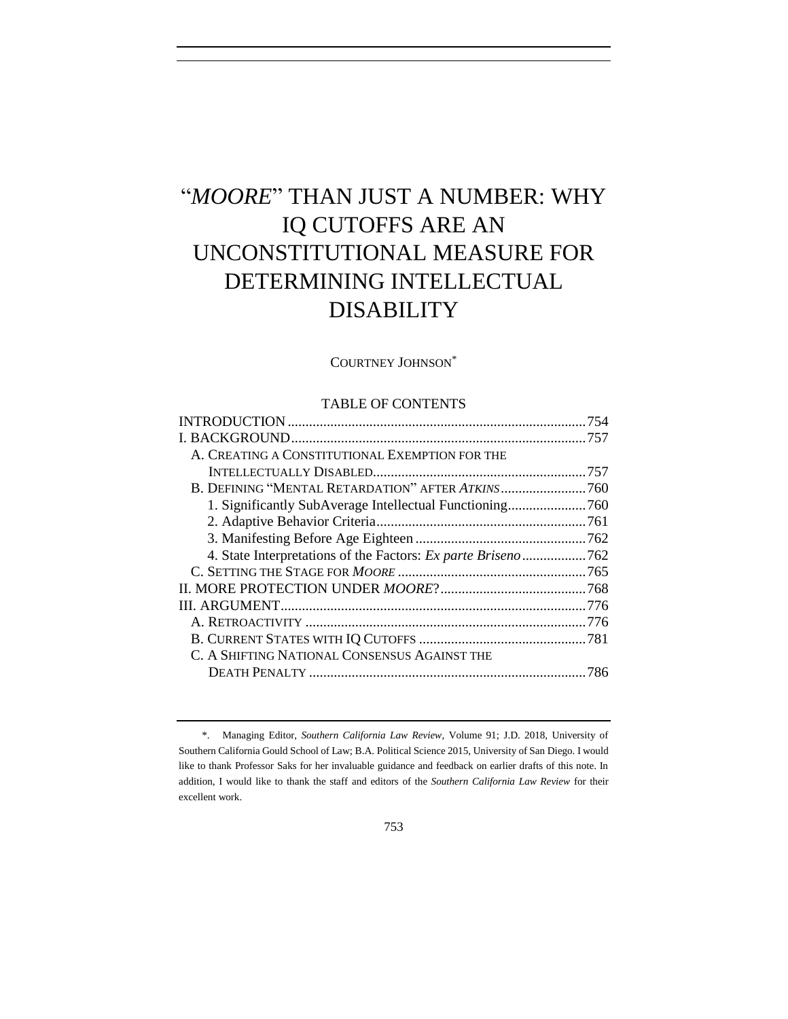# "*MOORE*" THAN JUST A NUMBER: WHY IQ CUTOFFS ARE AN UNCONSTITUTIONAL MEASURE FOR DETERMINING INTELLECTUAL DISABILITY

# COURTNEY JOHNSON\*

# TABLE OF CONTENTS

| A. CREATING A CONSTITUTIONAL EXEMPTION FOR THE               |     |
|--------------------------------------------------------------|-----|
|                                                              |     |
|                                                              |     |
|                                                              |     |
|                                                              |     |
|                                                              |     |
| 4. State Interpretations of the Factors: Ex parte Briseno762 |     |
|                                                              |     |
|                                                              |     |
|                                                              |     |
|                                                              |     |
|                                                              |     |
| C. A SHIFTING NATIONAL CONSENSUS AGAINST THE                 |     |
|                                                              | 786 |
|                                                              |     |

<sup>\*.</sup> Managing Editor, *Southern California Law Review*, Volume 91; J.D. 2018, University of Southern California Gould School of Law; B.A. Political Science 2015, University of San Diego. I would like to thank Professor Saks for her invaluable guidance and feedback on earlier drafts of this note. In addition, I would like to thank the staff and editors of the *Southern California Law Review* for their excellent work.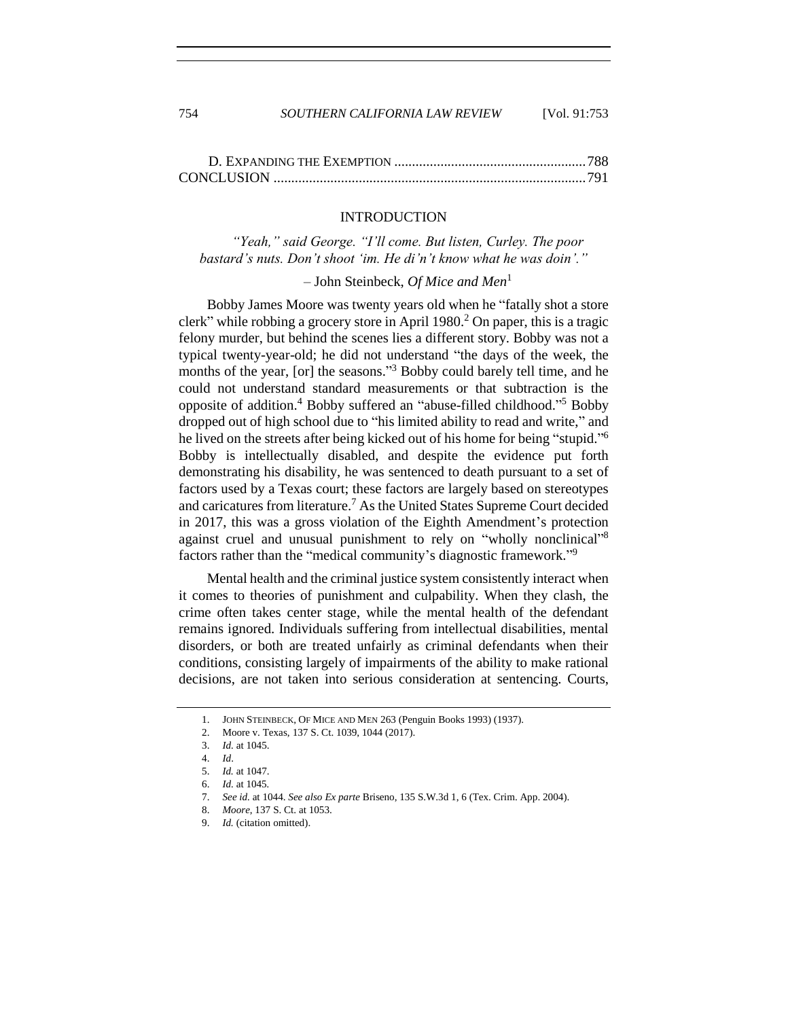754 *SOUTHERN CALIFORNIA LAW REVIEW* [Vol. 91:753

# INTRODUCTION

<span id="page-1-0"></span>*"Yeah," said George. "I'll come. But listen, Curley. The poor bastard's nuts. Don't shoot 'im. He di'n't know what he was doin'."* 

# *–* John Steinbeck, *Of Mice and Men*<sup>1</sup>

Bobby James Moore was twenty years old when he "fatally shot a store clerk" while robbing a grocery store in April 1980.<sup>2</sup> On paper, this is a tragic felony murder, but behind the scenes lies a different story. Bobby was not a typical twenty-year-old; he did not understand "the days of the week, the months of the year, [or] the seasons."<sup>3</sup> Bobby could barely tell time, and he could not understand standard measurements or that subtraction is the opposite of addition.<sup>4</sup> Bobby suffered an "abuse-filled childhood."<sup>5</sup> Bobby dropped out of high school due to "his limited ability to read and write," and he lived on the streets after being kicked out of his home for being "stupid."<sup>6</sup> Bobby is intellectually disabled, and despite the evidence put forth demonstrating his disability, he was sentenced to death pursuant to a set of factors used by a Texas court; these factors are largely based on stereotypes and caricatures from literature.<sup>7</sup> As the United States Supreme Court decided in 2017, this was a gross violation of the Eighth Amendment's protection against cruel and unusual punishment to rely on "wholly nonclinical"<sup>8</sup> factors rather than the "medical community's diagnostic framework."<sup>9</sup>

Mental health and the criminal justice system consistently interact when it comes to theories of punishment and culpability. When they clash, the crime often takes center stage, while the mental health of the defendant remains ignored. Individuals suffering from intellectual disabilities, mental disorders, or both are treated unfairly as criminal defendants when their conditions, consisting largely of impairments of the ability to make rational decisions, are not taken into serious consideration at sentencing. Courts,

<sup>1.</sup> JOHN STEINBECK, OF MICE AND MEN 263 (Penguin Books 1993) (1937).

<sup>2.</sup> Moore v. Texas, 137 S. Ct. 1039, 1044 (2017).

<sup>3.</sup> *Id.* at 1045.

<sup>4.</sup> *Id*.

<sup>5.</sup> *Id.* at 1047.

<sup>6.</sup> *Id.* at 1045*.* 

<sup>7.</sup> *See id.* at 1044. *See also Ex parte* Briseno, 135 S.W.3d 1, 6 (Tex. Crim. App. 2004).

<sup>8.</sup> *Moore*, 137 S. Ct. at 1053.

<sup>9.</sup> *Id.* (citation omitted).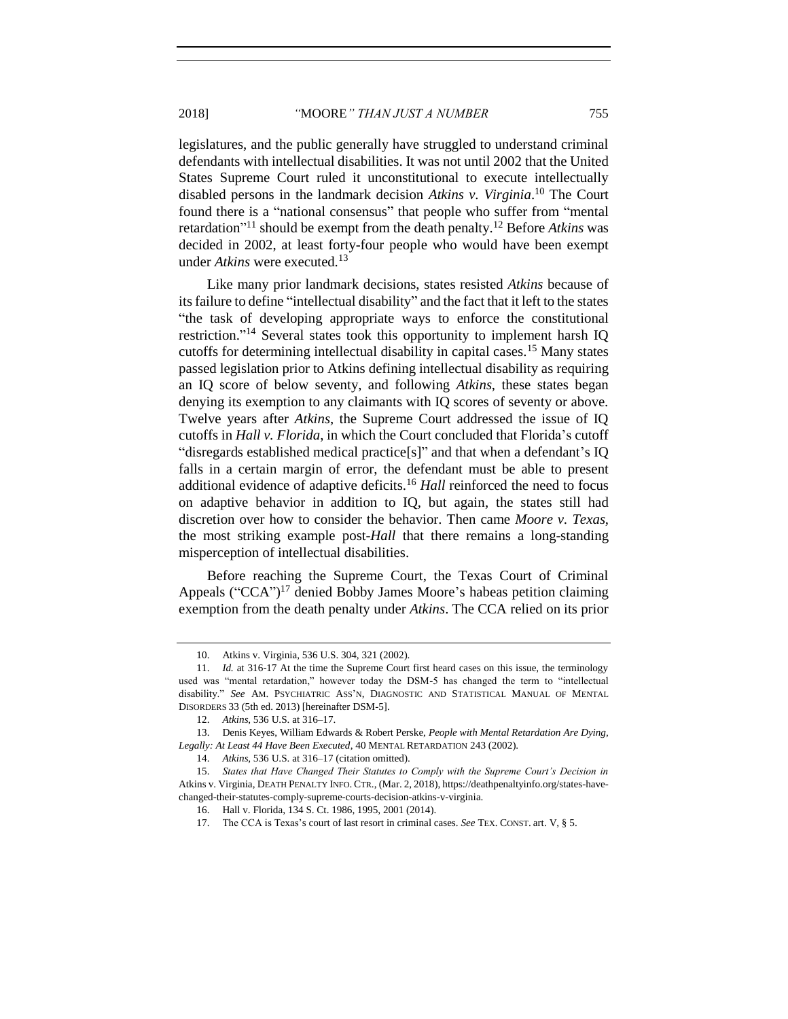legislatures, and the public generally have struggled to understand criminal defendants with intellectual disabilities. It was not until 2002 that the United States Supreme Court ruled it unconstitutional to execute intellectually disabled persons in the landmark decision *Atkins v. Virginia*. <sup>10</sup> The Court found there is a "national consensus" that people who suffer from "mental retardation" <sup>11</sup> should be exempt from the death penalty.<sup>12</sup> Before *Atkins* was decided in 2002, at least forty-four people who would have been exempt under *Atkins* were executed.<sup>13</sup>

<span id="page-2-0"></span>Like many prior landmark decisions, states resisted *Atkins* because of its failure to define "intellectual disability" and the fact that it left to the states "the task of developing appropriate ways to enforce the constitutional restriction." <sup>14</sup> Several states took this opportunity to implement harsh IQ cutoffs for determining intellectual disability in capital cases.<sup>15</sup> Many states passed legislation prior to Atkins defining intellectual disability as requiring an IQ score of below seventy, and following *Atkins*, these states began denying its exemption to any claimants with IQ scores of seventy or above. Twelve years after *Atkins*, the Supreme Court addressed the issue of IQ cutoffs in *Hall v. Florida*, in which the Court concluded that Florida's cutoff "disregards established medical practice[s]" and that when a defendant's IQ falls in a certain margin of error, the defendant must be able to present additional evidence of adaptive deficits.<sup>16</sup> *Hall* reinforced the need to focus on adaptive behavior in addition to IQ, but again, the states still had discretion over how to consider the behavior. Then came *Moore v. Texas*, the most striking example post-*Hall* that there remains a long-standing misperception of intellectual disabilities.

Before reaching the Supreme Court, the Texas Court of Criminal Appeals ("CCA")<sup>17</sup> denied Bobby James Moore's habeas petition claiming exemption from the death penalty under *Atkins*. The CCA relied on its prior

<sup>10.</sup> Atkins v. Virginia, 536 U.S. 304, 321 (2002).

<sup>11.</sup> *Id.* at 316-17 At the time the Supreme Court first heard cases on this issue, the terminology used was "mental retardation," however today the DSM-5 has changed the term to "intellectual disability." *See* AM. PSYCHIATRIC ASS'N, DIAGNOSTIC AND STATISTICAL MANUAL OF MENTAL DISORDERS 33 (5th ed. 2013) [hereinafter DSM-5].

<sup>12.</sup> *Atkins*, 536 U.S. at 316–17.

<sup>13.</sup> Denis Keyes, William Edwards & Robert Perske, *People with Mental Retardation Are Dying, Legally: At Least 44 Have Been Executed*, 40 MENTAL RETARDATION 243 (2002).

<sup>14.</sup> *Atkins*, 536 U.S. at 316–17 (citation omitted).

<sup>15.</sup> *States that Have Changed Their Statutes to Comply with the Supreme Court's Decision in*  Atkins v. Virginia, DEATH PENALTY INFO. CTR., (Mar. 2, 2018), https://deathpenaltyinfo.org/states-havechanged-their-statutes-comply-supreme-courts-decision-atkins-v-virginia.

<sup>16.</sup> Hall v. Florida, 134 S. Ct. 1986, 1995, 2001 (2014).

<sup>17.</sup> The CCA is Texas's court of last resort in criminal cases. *See* TEX. CONST. art. V, § 5.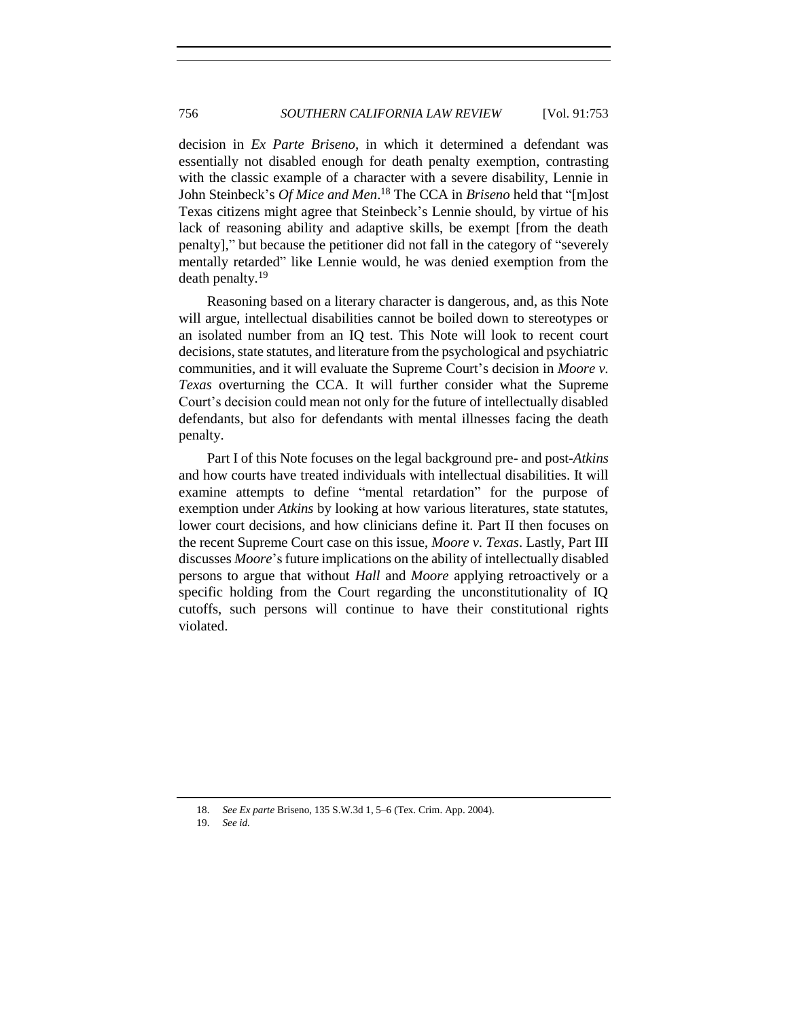decision in *Ex Parte Briseno*, in which it determined a defendant was essentially not disabled enough for death penalty exemption, contrasting with the classic example of a character with a severe disability, Lennie in John Steinbeck's *Of Mice and Men*. <sup>18</sup> The CCA in *Briseno* held that "[m]ost Texas citizens might agree that Steinbeck's Lennie should, by virtue of his lack of reasoning ability and adaptive skills, be exempt [from the death penalty]," but because the petitioner did not fall in the category of "severely mentally retarded" like Lennie would, he was denied exemption from the death penalty.<sup>19</sup>

Reasoning based on a literary character is dangerous, and, as this Note will argue, intellectual disabilities cannot be boiled down to stereotypes or an isolated number from an IQ test. This Note will look to recent court decisions, state statutes, and literature from the psychological and psychiatric communities, and it will evaluate the Supreme Court's decision in *Moore v. Texas* overturning the CCA. It will further consider what the Supreme Court's decision could mean not only for the future of intellectually disabled defendants, but also for defendants with mental illnesses facing the death penalty.

Part I of this Note focuses on the legal background pre- and post-*Atkins* and how courts have treated individuals with intellectual disabilities. It will examine attempts to define "mental retardation" for the purpose of exemption under *Atkins* by looking at how various literatures, state statutes, lower court decisions, and how clinicians define it. Part II then focuses on the recent Supreme Court case on this issue, *Moore v. Texas*. Lastly, Part III discusses *Moore*'s future implications on the ability of intellectually disabled persons to argue that without *Hall* and *Moore* applying retroactively or a specific holding from the Court regarding the unconstitutionality of IQ cutoffs, such persons will continue to have their constitutional rights violated.

<span id="page-3-0"></span><sup>18.</sup> *See Ex parte* Briseno, 135 S.W.3d 1, 5–6 (Tex. Crim. App. 2004).

<sup>19.</sup> *See id.*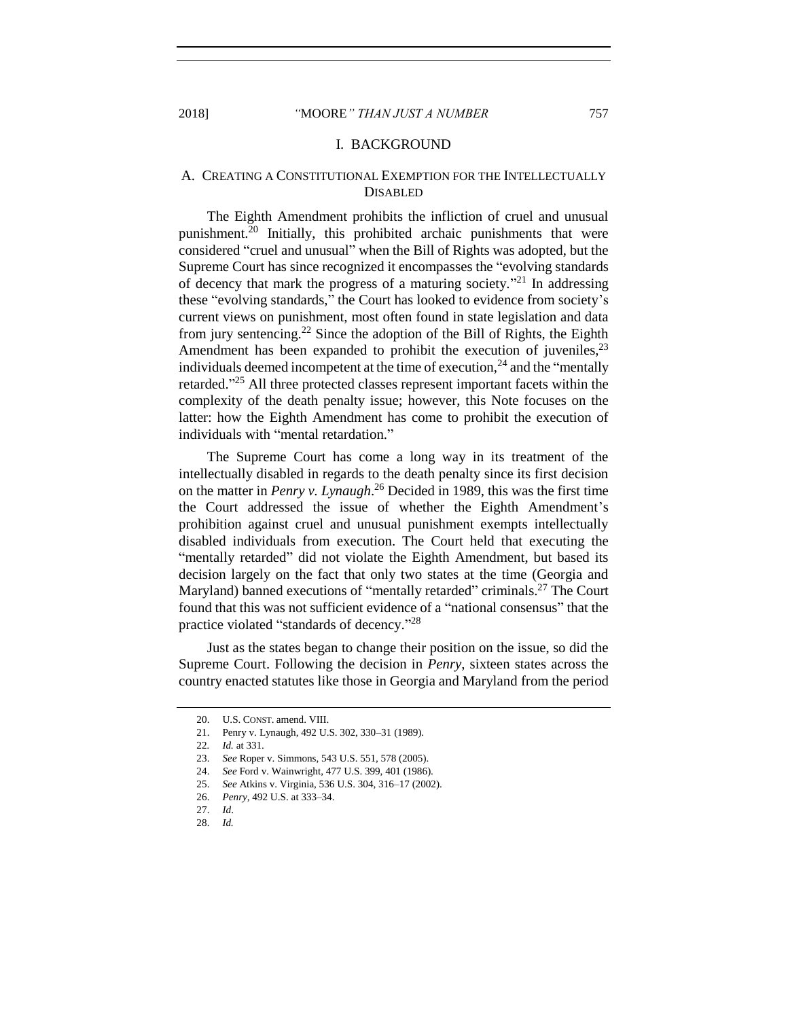# 2018] *"*MOORE*" THAN JUST A NUMBER* 757

#### I. BACKGROUND

# <span id="page-4-0"></span>A.CREATING A CONSTITUTIONAL EXEMPTION FOR THE INTELLECTUALLY DISABLED

The Eighth Amendment prohibits the infliction of cruel and unusual punishment.<sup>20</sup> Initially, this prohibited archaic punishments that were considered "cruel and unusual" when the Bill of Rights was adopted, but the Supreme Court has since recognized it encompasses the "evolving standards of decency that mark the progress of a maturing society."<sup>21</sup> In addressing these "evolving standards," the Court has looked to evidence from society's current views on punishment, most often found in state legislation and data from jury sentencing.<sup>22</sup> Since the adoption of the Bill of Rights, the Eighth Amendment has been expanded to prohibit the execution of juveniles,  $2<sup>3</sup>$ individuals deemed incompetent at the time of execution,  $24$  and the "mentally retarded."<sup>25</sup> All three protected classes represent important facets within the complexity of the death penalty issue; however, this Note focuses on the latter: how the Eighth Amendment has come to prohibit the execution of individuals with "mental retardation."

The Supreme Court has come a long way in its treatment of the intellectually disabled in regards to the death penalty since its first decision on the matter in *Penry v. Lynaugh*. <sup>26</sup> Decided in 1989, this was the first time the Court addressed the issue of whether the Eighth Amendment's prohibition against cruel and unusual punishment exempts intellectually disabled individuals from execution. The Court held that executing the "mentally retarded" did not violate the Eighth Amendment, but based its decision largely on the fact that only two states at the time (Georgia and Maryland) banned executions of "mentally retarded" criminals.<sup>27</sup> The Court found that this was not sufficient evidence of a "national consensus" that the practice violated "standards of decency."<sup>28</sup>

Just as the states began to change their position on the issue, so did the Supreme Court. Following the decision in *Penry*, sixteen states across the country enacted statutes like those in Georgia and Maryland from the period

<sup>20.</sup> U.S. CONST. amend. VIII.

<sup>21.</sup> Penry v. Lynaugh, 492 U.S. 302, 330–31 (1989).

<sup>22</sup>*. Id.* at 331.

<sup>23.</sup> *See* Roper v. Simmons, 543 U.S. 551, 578 (2005).

<sup>24.</sup> *See* Ford v. Wainwright, 477 U.S. 399, 401 (1986).

<sup>25.</sup> *See* Atkins v. Virginia, 536 U.S. 304, 316–17 (2002).

<sup>26.</sup> *Penry*, 492 U.S. at 333–34.

<sup>27.</sup> *Id*.

<sup>28.</sup> *Id.*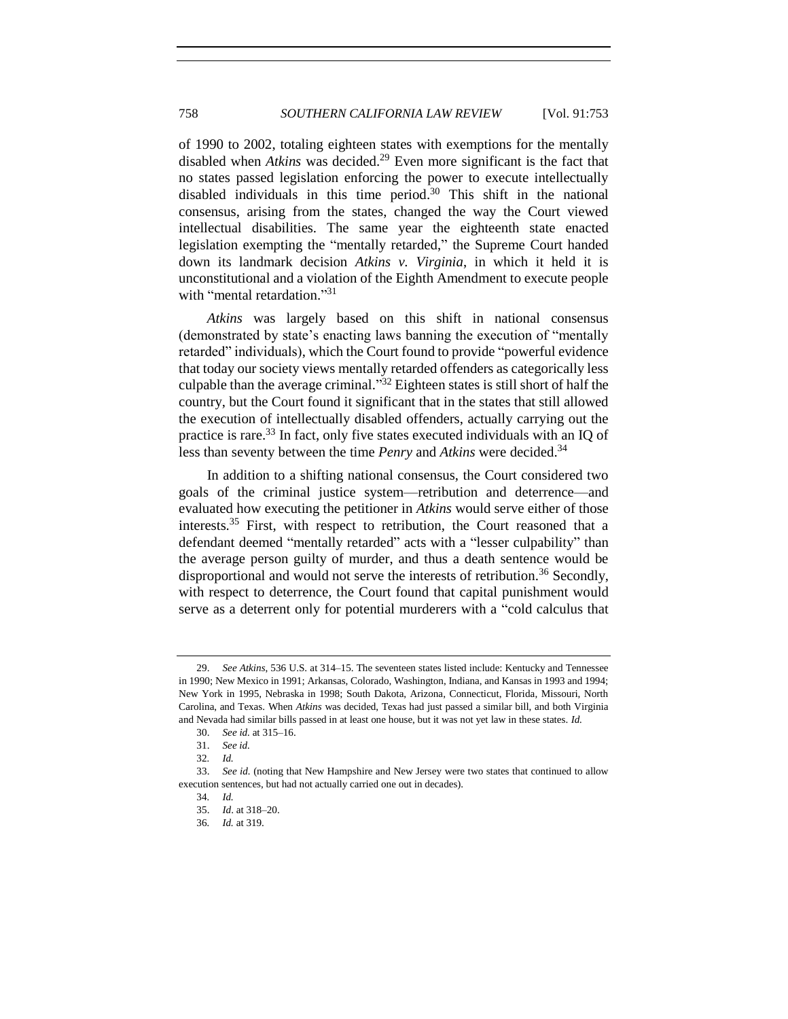of 1990 to 2002, totaling eighteen states with exemptions for the mentally disabled when *Atkins* was decided. <sup>29</sup> Even more significant is the fact that no states passed legislation enforcing the power to execute intellectually disabled individuals in this time period. <sup>30</sup> This shift in the national consensus, arising from the states, changed the way the Court viewed intellectual disabilities. The same year the eighteenth state enacted legislation exempting the "mentally retarded," the Supreme Court handed down its landmark decision *Atkins v. Virginia*, in which it held it is unconstitutional and a violation of the Eighth Amendment to execute people with "mental retardation."<sup>31</sup>

*Atkins* was largely based on this shift in national consensus (demonstrated by state's enacting laws banning the execution of "mentally retarded" individuals), which the Court found to provide "powerful evidence that today our society views mentally retarded offenders as categorically less culpable than the average criminal." $32$  Eighteen states is still short of half the country, but the Court found it significant that in the states that still allowed the execution of intellectually disabled offenders, actually carrying out the practice is rare.<sup>33</sup> In fact, only five states executed individuals with an IQ of less than seventy between the time *Penry* and *Atkins* were decided.<sup>34</sup>

In addition to a shifting national consensus, the Court considered two goals of the criminal justice system—retribution and deterrence—and evaluated how executing the petitioner in *Atkins* would serve either of those interests.<sup>35</sup> First, with respect to retribution, the Court reasoned that a defendant deemed "mentally retarded" acts with a "lesser culpability" than the average person guilty of murder, and thus a death sentence would be disproportional and would not serve the interests of retribution.<sup>36</sup> Secondly, with respect to deterrence, the Court found that capital punishment would serve as a deterrent only for potential murderers with a "cold calculus that

<sup>29.</sup> *See Atkins*, 536 U.S. at 314–15. The seventeen states listed include: Kentucky and Tennessee in 1990; New Mexico in 1991; Arkansas, Colorado, Washington, Indiana, and Kansas in 1993 and 1994; New York in 1995, Nebraska in 1998; South Dakota, Arizona, Connecticut, Florida, Missouri, North Carolina, and Texas. When *Atkins* was decided, Texas had just passed a similar bill, and both Virginia and Nevada had similar bills passed in at least one house, but it was not yet law in these states. *Id.*

<sup>30.</sup> *See id.* at 315–16.

<sup>31.</sup> *See id.*

<sup>32</sup>*. Id.*

<sup>33.</sup> *See id.* (noting that New Hampshire and New Jersey were two states that continued to allow execution sentences, but had not actually carried one out in decades).

<sup>34</sup>*. Id.*

<sup>35.</sup> *Id*. at 318–20.

<sup>36</sup>*. Id.* at 319.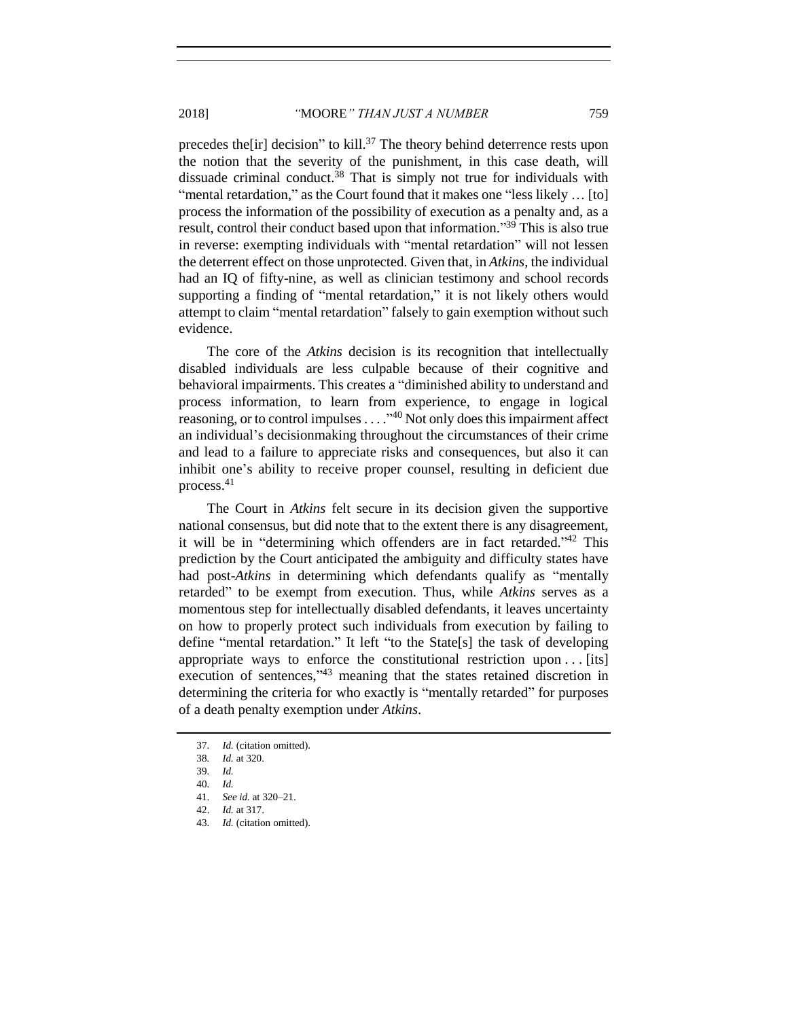2018] *"*MOORE*" THAN JUST A NUMBER* 759

precedes the [ir] decision" to kill.<sup>37</sup> The theory behind deterrence rests upon

the notion that the severity of the punishment, in this case death, will dissuade criminal conduct. <sup>38</sup> That is simply not true for individuals with "mental retardation," as the Court found that it makes one "less likely ... [to] process the information of the possibility of execution as a penalty and, as a result, control their conduct based upon that information."<sup>39</sup> This is also true in reverse: exempting individuals with "mental retardation" will not lessen the deterrent effect on those unprotected. Given that, in *Atkins*, the individual had an IQ of fifty-nine, as well as clinician testimony and school records supporting a finding of "mental retardation," it is not likely others would attempt to claim "mental retardation" falsely to gain exemption without such evidence.

The core of the *Atkins* decision is its recognition that intellectually disabled individuals are less culpable because of their cognitive and behavioral impairments. This creates a "diminished ability to understand and process information, to learn from experience, to engage in logical reasoning, or to control impulses  $\dots$   $\cdot$ <sup>40</sup> Not only does this impairment affect an individual's decisionmaking throughout the circumstances of their crime and lead to a failure to appreciate risks and consequences, but also it can inhibit one's ability to receive proper counsel, resulting in deficient due process.<sup>41</sup>

The Court in *Atkins* felt secure in its decision given the supportive national consensus, but did note that to the extent there is any disagreement, it will be in "determining which offenders are in fact retarded." <sup>42</sup> This prediction by the Court anticipated the ambiguity and difficulty states have had post-*Atkins* in determining which defendants qualify as "mentally retarded" to be exempt from execution. Thus, while *Atkins* serves as a momentous step for intellectually disabled defendants, it leaves uncertainty on how to properly protect such individuals from execution by failing to define "mental retardation." It left "to the State[s] the task of developing appropriate ways to enforce the constitutional restriction upon . . . [its] execution of sentences,"<sup>43</sup> meaning that the states retained discretion in determining the criteria for who exactly is "mentally retarded" for purposes of a death penalty exemption under *Atkins*.

<sup>37</sup>*. Id.* (citation omitted).

<sup>38</sup>*. Id.* at 320.

<sup>39</sup>*. Id.*

<sup>40</sup>*. Id.* 

<sup>41</sup>*. See id.* at 320–21.

<sup>42.</sup> *Id.* at 317.

<sup>43</sup>*. Id.* (citation omitted).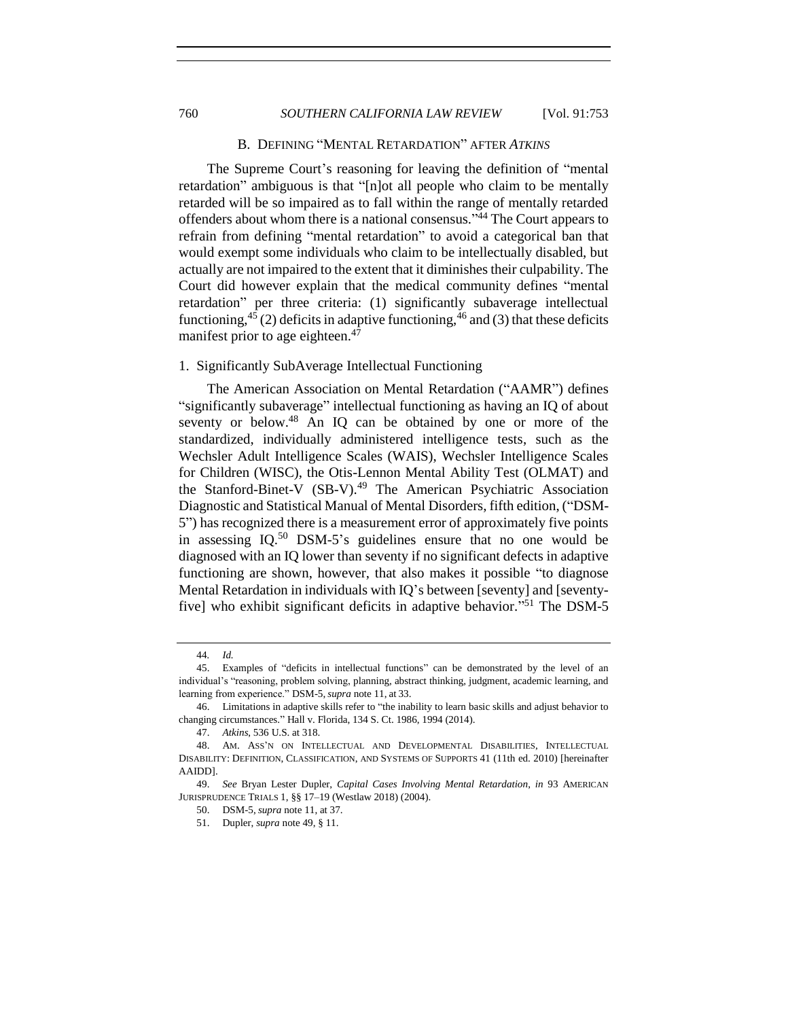## B.DEFINING "MENTAL RETARDATION" AFTER *ATKINS*

The Supreme Court's reasoning for leaving the definition of "mental retardation" ambiguous is that "[n]ot all people who claim to be mentally retarded will be so impaired as to fall within the range of mentally retarded offenders about whom there is a national consensus."<sup>44</sup> The Court appears to refrain from defining "mental retardation" to avoid a categorical ban that would exempt some individuals who claim to be intellectually disabled, but actually are not impaired to the extent that it diminishes their culpability. The Court did however explain that the medical community defines "mental retardation" per three criteria: (1) significantly subaverage intellectual functioning,<sup>45</sup> (2) deficits in adaptive functioning,<sup>46</sup> and (3) that these deficits manifest prior to age eighteen.<sup>47</sup>

# <span id="page-7-1"></span>1. Significantly SubAverage Intellectual Functioning

<span id="page-7-3"></span><span id="page-7-2"></span>The American Association on Mental Retardation ("AAMR") defines "significantly subaverage" intellectual functioning as having an IQ of about seventy or below.<sup>48</sup> An IQ can be obtained by one or more of the standardized, individually administered intelligence tests, such as the Wechsler Adult Intelligence Scales (WAIS), Wechsler Intelligence Scales for Children (WISC), the Otis-Lennon Mental Ability Test (OLMAT) and the Stanford-Binet-V (SB-V).<sup>49</sup> The American Psychiatric Association Diagnostic and Statistical Manual of Mental Disorders, fifth edition, ("DSM-5") has recognized there is a measurement error of approximately five points in assessing IQ.<sup>50</sup> DSM-5's guidelines ensure that no one would be diagnosed with an IQ lower than seventy if no significant defects in adaptive functioning are shown, however, that also makes it possible "to diagnose Mental Retardation in individuals with IQ's between [seventy] and [seventyfive] who exhibit significant deficits in adaptive behavior." <sup>51</sup> The DSM-5

<span id="page-7-0"></span>

<sup>44</sup>*. Id.*

<sup>45.</sup> Examples of "deficits in intellectual functions" can be demonstrated by the level of an individual's "reasoning, problem solving, planning, abstract thinking, judgment, academic learning, and learning from experience." DSM-5, *supra* not[e 11,](#page-2-0) at 33.

<sup>46.</sup> Limitations in adaptive skills refer to "the inability to learn basic skills and adjust behavior to changing circumstances." Hall v. Florida, 134 S. Ct. 1986, 1994 (2014).

<sup>47.</sup> *Atkins*, 536 U.S. at 318.

<sup>48.</sup> AM. ASS'N ON INTELLECTUAL AND DEVELOPMENTAL DISABILITIES, INTELLECTUAL DISABILITY: DEFINITION, CLASSIFICATION, AND SYSTEMS OF SUPPORTS 41 (11th ed. 2010) [hereinafter AAIDD].

<sup>49.</sup> *See* Bryan Lester Dupler, *Capital Cases Involving Mental Retardation*, *in* 93 AMERICAN JURISPRUDENCE TRIALS 1, §§ 17–19 (Westlaw 2018) (2004).

<sup>50.</sup> DSM-5, *supra* not[e 11,](#page-2-0) at 37.

<sup>51.</sup> Dupler, *supra* not[e 49,](#page-7-2) § 11.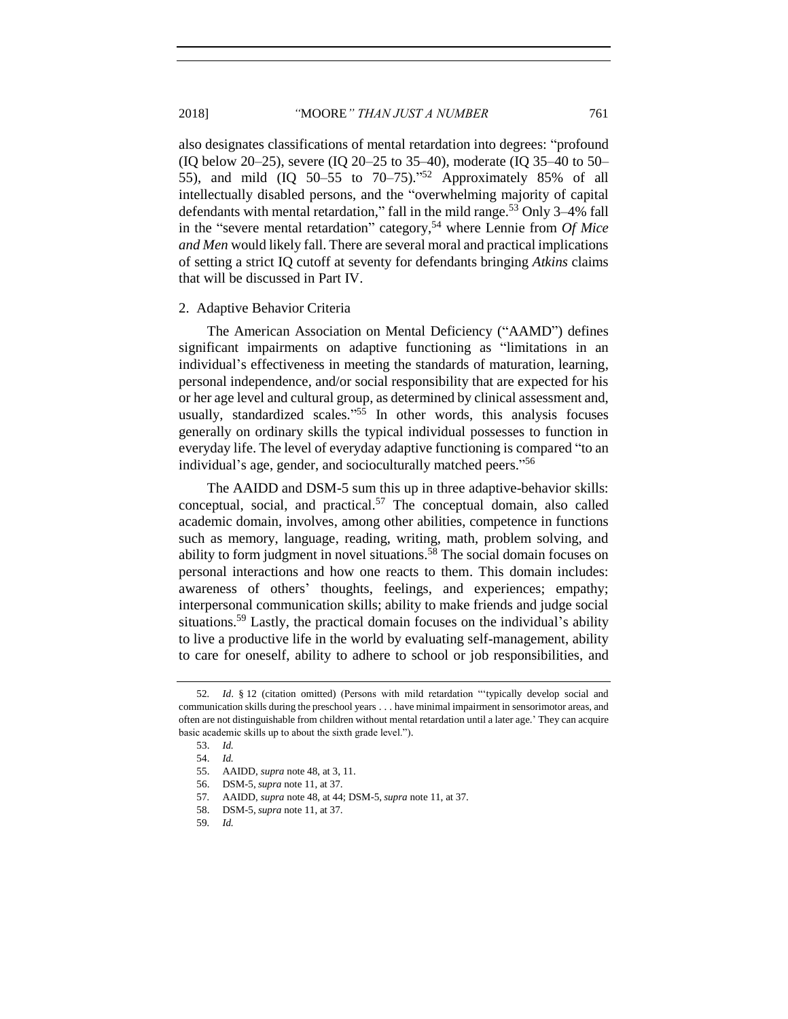also designates classifications of mental retardation into degrees: "profound (IQ below 20–25), severe (IQ 20–25 to 35–40), moderate (IQ 35–40 to 50– 55), and mild  $(IQ 50-55 to 70-75).$ <sup>52</sup> Approximately 85% of all intellectually disabled persons, and the "overwhelming majority of capital defendants with mental retardation," fall in the mild range.<sup>53</sup> Only 3-4% fall in the "severe mental retardation" category,<sup>54</sup> where Lennie from *Of Mice and Men* would likely fall. There are several moral and practical implications of setting a strict IQ cutoff at seventy for defendants bringing *Atkins* claims that will be discussed in Part IV.

#### <span id="page-8-0"></span>2. Adaptive Behavior Criteria

The American Association on Mental Deficiency ("AAMD") defines significant impairments on adaptive functioning as "limitations in an individual's effectiveness in meeting the standards of maturation, learning, personal independence, and/or social responsibility that are expected for his or her age level and cultural group, as determined by clinical assessment and, usually, standardized scales."<sup>55</sup> In other words, this analysis focuses generally on ordinary skills the typical individual possesses to function in everyday life. The level of everyday adaptive functioning is compared "to an individual's age, gender, and socioculturally matched peers."<sup>56</sup>

The AAIDD and DSM-5 sum this up in three adaptive-behavior skills: conceptual, social, and practical.<sup>57</sup> The conceptual domain, also called academic domain, involves, among other abilities, competence in functions such as memory, language, reading, writing, math, problem solving, and ability to form judgment in novel situations.<sup>58</sup> The social domain focuses on personal interactions and how one reacts to them. This domain includes: awareness of others' thoughts, feelings, and experiences; empathy; interpersonal communication skills; ability to make friends and judge social situations.<sup>59</sup> Lastly, the practical domain focuses on the individual's ability to live a productive life in the world by evaluating self-management, ability to care for oneself, ability to adhere to school or job responsibilities, and

<sup>52</sup>*. Id*. § 12 (citation omitted) (Persons with mild retardation "'typically develop social and communication skills during the preschool years . . . have minimal impairment in sensorimotor areas, and often are not distinguishable from children without mental retardation until a later age.' They can acquire basic academic skills up to about the sixth grade level.").

<sup>53.</sup> *Id.*

<sup>54.</sup> *Id.*

<sup>55.</sup> AAIDD, *supra* note [48,](#page-7-3) at 3, 11.

<sup>56.</sup> DSM-5, *supra* not[e 11,](#page-2-0) at 37.

<sup>57</sup>*.* AAIDD, *supra* note [48,](#page-7-3) at 44; DSM-5, *supra* not[e 11,](#page-2-0) at 37.

<sup>58.</sup> DSM-5, *supra* not[e 11,](#page-2-0) at 37.

<sup>59</sup>*. Id.*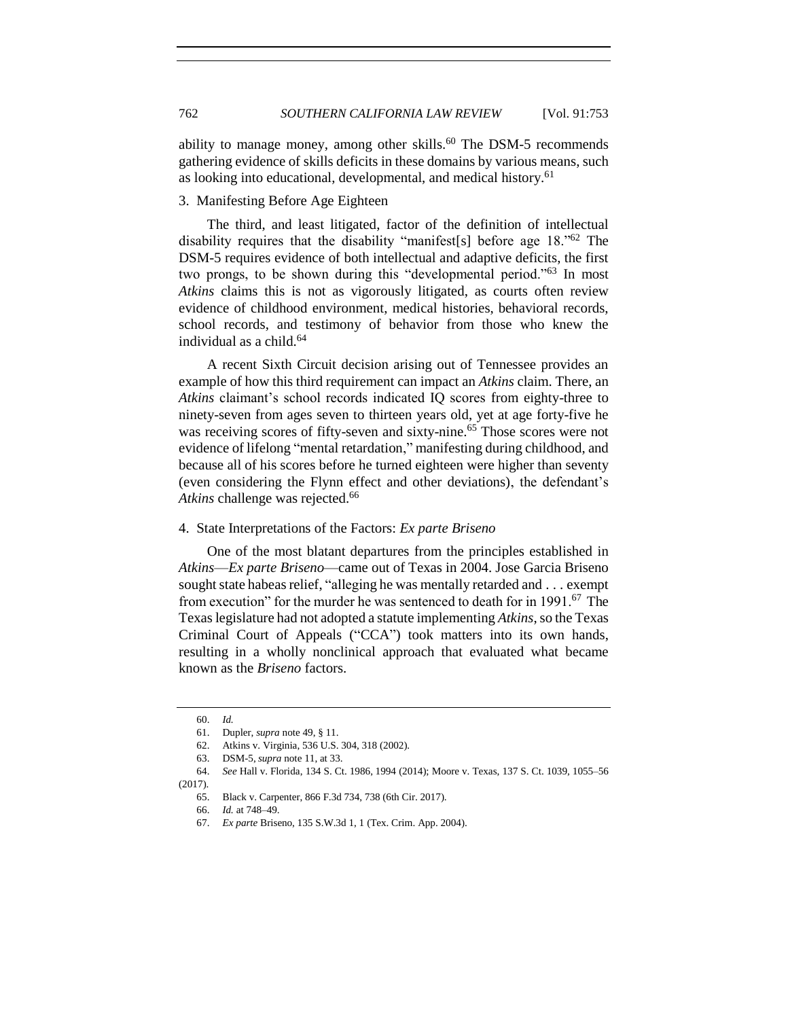ability to manage money, among other skills.<sup>60</sup> The DSM-5 recommends gathering evidence of skills deficits in these domains by various means, such as looking into educational, developmental, and medical history.<sup>61</sup>

# <span id="page-9-0"></span>3. Manifesting Before Age Eighteen

The third, and least litigated, factor of the definition of intellectual disability requires that the disability "manifest[s] before age 18."<sup>62</sup> The DSM-5 requires evidence of both intellectual and adaptive deficits, the first two prongs, to be shown during this "developmental period."<sup>63</sup> In most *Atkins* claims this is not as vigorously litigated, as courts often review evidence of childhood environment, medical histories, behavioral records, school records, and testimony of behavior from those who knew the individual as a child. $64$ 

A recent Sixth Circuit decision arising out of Tennessee provides an example of how this third requirement can impact an *Atkins* claim. There, an *Atkins* claimant's school records indicated IQ scores from eighty-three to ninety-seven from ages seven to thirteen years old, yet at age forty-five he was receiving scores of fifty-seven and sixty-nine. <sup>65</sup> Those scores were not evidence of lifelong "mental retardation," manifesting during childhood, and because all of his scores before he turned eighteen were higher than seventy (even considering the Flynn effect and other deviations), the defendant's Atkins challenge was rejected.<sup>66</sup>

# <span id="page-9-1"></span>4. State Interpretations of the Factors: *Ex parte Briseno*

One of the most blatant departures from the principles established in *Atkins*—*Ex parte Briseno*—came out of Texas in 2004. Jose Garcia Briseno sought state habeas relief, "alleging he was mentally retarded and . . . exempt from execution" for the murder he was sentenced to death for in 1991.<sup>67</sup> The Texas legislature had not adopted a statute implementing *Atkins*, so the Texas Criminal Court of Appeals ("CCA") took matters into its own hands, resulting in a wholly nonclinical approach that evaluated what became known as the *Briseno* factors.

<sup>60.</sup> *Id.*

<sup>61.</sup> Dupler, *supra* not[e 49,](#page-7-2) § 11.

<sup>62.</sup> Atkins v. Virginia, 536 U.S. 304, 318 (2002).

<sup>63.</sup> DSM-5, *supra* not[e 11,](#page-2-0) at 33.

<sup>64.</sup> *See* Hall v. Florida, 134 S. Ct. 1986, 1994 (2014); Moore v. Texas, 137 S. Ct. 1039, 1055–56 (2017).

<sup>65.</sup> Black v. Carpenter, 866 F.3d 734, 738 (6th Cir. 2017).

<sup>66.</sup> *Id.* at 748–49.

<sup>67.</sup> *Ex parte* Briseno, 135 S.W.3d 1, 1 (Tex. Crim. App. 2004).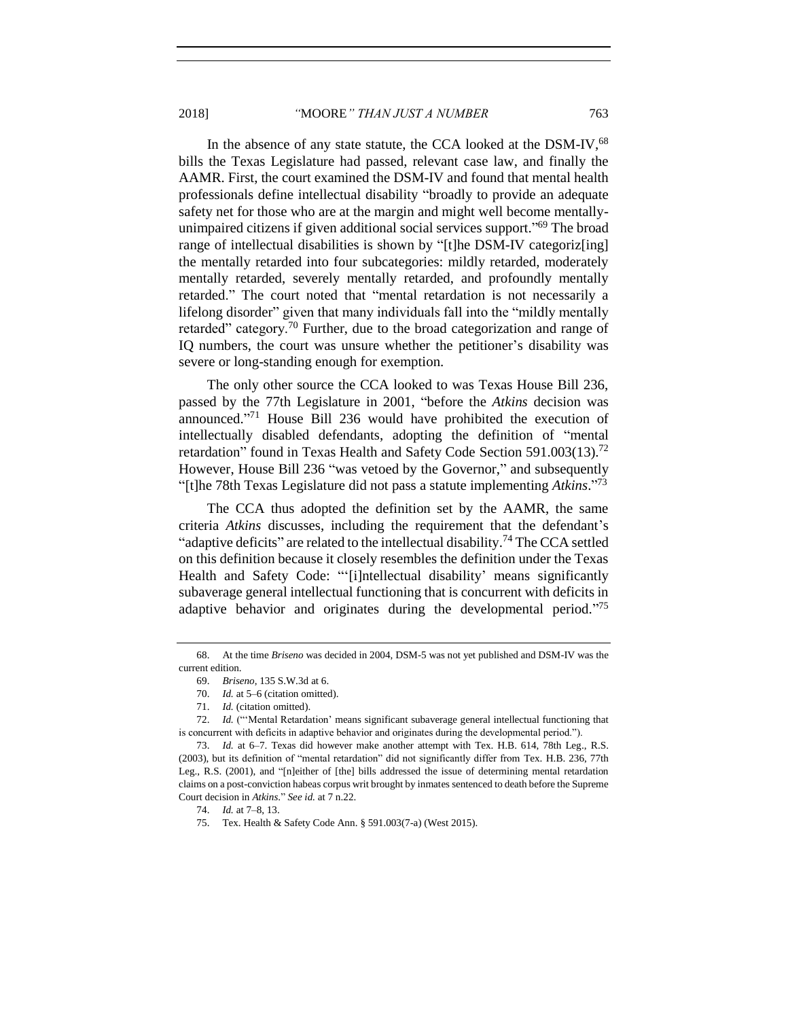2018] *"*MOORE*" THAN JUST A NUMBER* 763

In the absence of any state statute, the CCA looked at the DSM-IV, 68 bills the Texas Legislature had passed, relevant case law, and finally the AAMR. First, the court examined the DSM-IV and found that mental health professionals define intellectual disability "broadly to provide an adequate safety net for those who are at the margin and might well become mentallyunimpaired citizens if given additional social services support."<sup>69</sup> The broad range of intellectual disabilities is shown by "[t]he DSM-IV categoriz[ing] the mentally retarded into four subcategories: mildly retarded, moderately mentally retarded, severely mentally retarded, and profoundly mentally retarded." The court noted that "mental retardation is not necessarily a lifelong disorder" given that many individuals fall into the "mildly mentally retarded" category.<sup>70</sup> Further, due to the broad categorization and range of IQ numbers, the court was unsure whether the petitioner's disability was severe or long-standing enough for exemption.

The only other source the CCA looked to was Texas House Bill 236, passed by the 77th Legislature in 2001, "before the *Atkins* decision was announced."<sup>71</sup> House Bill 236 would have prohibited the execution of intellectually disabled defendants, adopting the definition of "mental retardation" found in Texas Health and Safety Code Section 591.003(13).<sup>72</sup> However, House Bill 236 "was vetoed by the Governor," and subsequently "[t]he 78th Texas Legislature did not pass a statute implementing *Atkins*." 73

The CCA thus adopted the definition set by the AAMR, the same criteria *Atkins* discusses, including the requirement that the defendant's "adaptive deficits" are related to the intellectual disability.<sup>74</sup> The CCA settled on this definition because it closely resembles the definition under the Texas Health and Safety Code: "'[i]ntellectual disability' means significantly subaverage general intellectual functioning that is concurrent with deficits in adaptive behavior and originates during the developmental period."<sup>75</sup>

<sup>68.</sup> At the time *Briseno* was decided in 2004, DSM-5 was not yet published and DSM-IV was the current edition.

<sup>69.</sup> *Briseno*, 135 S.W.3d at 6.

<sup>70.</sup> *Id.* at 5–6 (citation omitted).

<sup>71.</sup> *Id.* (citation omitted).

<sup>72.</sup> *Id.* ("'Mental Retardation' means significant subaverage general intellectual functioning that is concurrent with deficits in adaptive behavior and originates during the developmental period.").

<sup>73.</sup> *Id.* at 6–7. Texas did however make another attempt with Tex. H.B. 614, 78th Leg., R.S. (2003), but its definition of "mental retardation" did not significantly differ from Tex. H.B. 236, 77th Leg., R.S. (2001), and "[n]either of [the] bills addressed the issue of determining mental retardation claims on a post-conviction habeas corpus writ brought by inmates sentenced to death before the Supreme Court decision in *Atkins*." *See id.* at 7 n.22.

<sup>74.</sup> *Id.* at 7–8, 13.

<sup>75.</sup> Tex. Health & Safety Code Ann. § 591.003(7-a) (West 2015).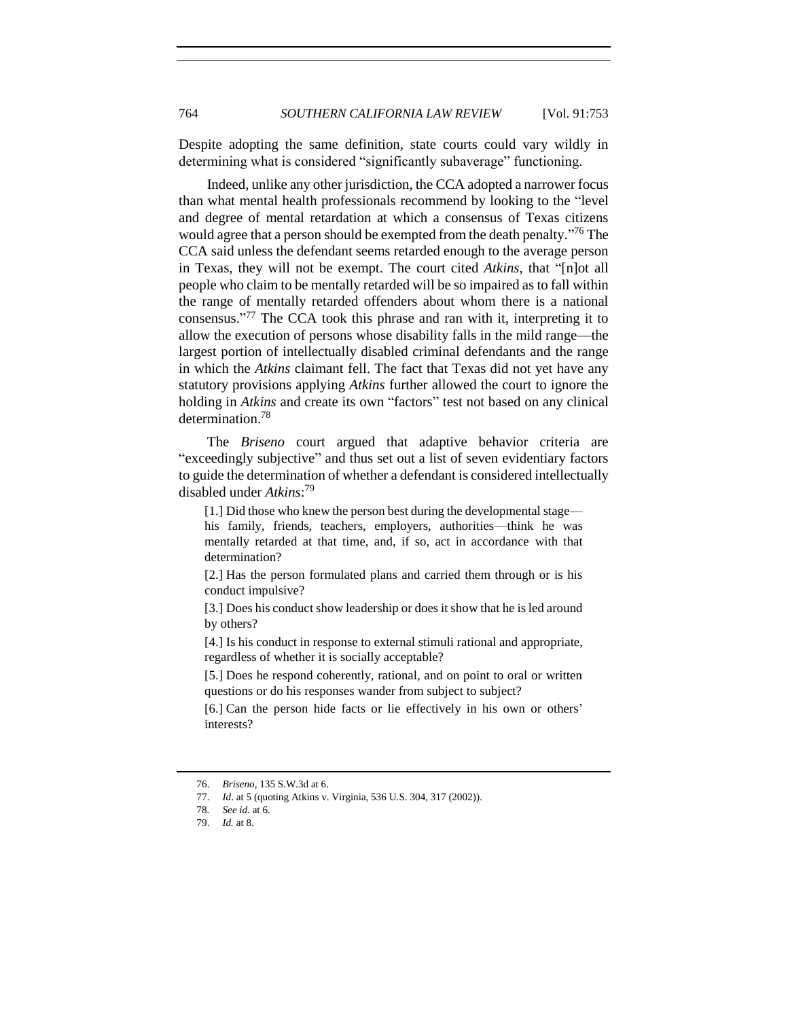Despite adopting the same definition, state courts could vary wildly in determining what is considered "significantly subaverage" functioning.

Indeed, unlike any other jurisdiction, the CCA adopted a narrower focus than what mental health professionals recommend by looking to the "level and degree of mental retardation at which a consensus of Texas citizens would agree that a person should be exempted from the death penalty."<sup>76</sup> The CCA said unless the defendant seems retarded enough to the average person in Texas, they will not be exempt. The court cited *Atkins*, that "[n]ot all people who claim to be mentally retarded will be so impaired as to fall within the range of mentally retarded offenders about whom there is a national consensus." <sup>77</sup> The CCA took this phrase and ran with it, interpreting it to allow the execution of persons whose disability falls in the mild range—the largest portion of intellectually disabled criminal defendants and the range in which the *Atkins* claimant fell. The fact that Texas did not yet have any statutory provisions applying *Atkins* further allowed the court to ignore the holding in *Atkins* and create its own "factors" test not based on any clinical determination.<sup>78</sup>

The *Briseno* court argued that adaptive behavior criteria are "exceedingly subjective" and thus set out a list of seven evidentiary factors to guide the determination of whether a defendant is considered intellectually disabled under *Atkins*: 79

[1.] Did those who knew the person best during the developmental stage his family, friends, teachers, employers, authorities—think he was mentally retarded at that time, and, if so, act in accordance with that determination?

[2.] Has the person formulated plans and carried them through or is his conduct impulsive?

[3.] Does his conduct show leadership or does it show that he is led around by others?

[4.] Is his conduct in response to external stimuli rational and appropriate, regardless of whether it is socially acceptable?

[5.] Does he respond coherently, rational, and on point to oral or written questions or do his responses wander from subject to subject?

[6.] Can the person hide facts or lie effectively in his own or others' interests?

<sup>76.</sup> *Briseno*, 135 S.W.3d at 6.

<sup>77.</sup> *Id*. at 5 (quoting Atkins v. Virginia, 536 U.S. 304, 317 (2002)).

<sup>78</sup>*. See id.* at 6.

<sup>79.</sup> *Id.* at 8.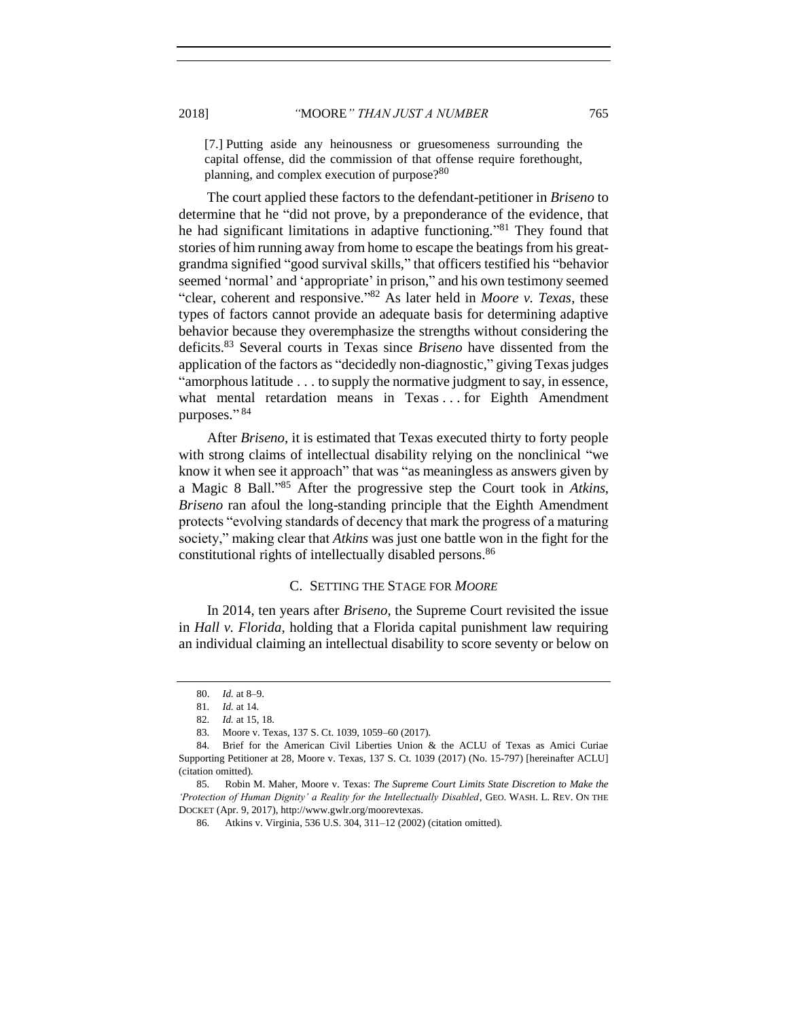[7.] Putting aside any heinousness or gruesomeness surrounding the capital offense, did the commission of that offense require forethought, planning, and complex execution of purpose?<sup>80</sup>

The court applied these factors to the defendant-petitioner in *Briseno* to determine that he "did not prove, by a preponderance of the evidence, that he had significant limitations in adaptive functioning."<sup>81</sup> They found that stories of him running away from home to escape the beatings from his greatgrandma signified "good survival skills," that officers testified his "behavior seemed 'normal' and 'appropriate' in prison," and his own testimony seemed "clear, coherent and responsive." <sup>82</sup> As later held in *Moore v. Texas*, these types of factors cannot provide an adequate basis for determining adaptive behavior because they overemphasize the strengths without considering the deficits. <sup>83</sup> Several courts in Texas since *Briseno* have dissented from the application of the factors as "decidedly non-diagnostic," giving Texas judges "amorphous latitude . . . to supply the normative judgment to say, in essence, what mental retardation means in Texas . . . for Eighth Amendment purposes." 84

<span id="page-12-1"></span>After *Briseno*, it is estimated that Texas executed thirty to forty people with strong claims of intellectual disability relying on the nonclinical "we know it when see it approach" that was "as meaningless as answers given by a Magic 8 Ball." <sup>85</sup> After the progressive step the Court took in *Atkins*, *Briseno* ran afoul the long-standing principle that the Eighth Amendment protects "evolving standards of decency that mark the progress of a maturing society," making clear that *Atkins* was just one battle won in the fight for the constitutional rights of intellectually disabled persons.<sup>86</sup>

## C. SETTING THE STAGE FOR *MOORE*

<span id="page-12-0"></span>In 2014, ten years after *Briseno*, the Supreme Court revisited the issue in *Hall v. Florida*, holding that a Florida capital punishment law requiring an individual claiming an intellectual disability to score seventy or below on

<sup>80.</sup> *Id.* at 8–9.

<sup>81</sup>*. Id.* at 14.

<sup>82</sup>*. Id.* at 15, 18.

<sup>83</sup>*.* Moore v. Texas*,* 137 S. Ct. 1039, 1059–60 (2017).

<sup>84</sup>*.* Brief for the American Civil Liberties Union & the ACLU of Texas as Amici Curiae Supporting Petitioner at 28, Moore v. Texas*,* 137 S. Ct. 1039 (2017) (No. 15-797) [hereinafter ACLU] (citation omitted).

<sup>85</sup>*.* Robin M. Maher, Moore v. Texas: *The Supreme Court Limits State Discretion to Make the 'Protection of Human Dignity' a Reality for the Intellectually Disabled*, GEO. WASH. L. REV. ON THE DOCKET (Apr. 9, 2017), http://www.gwlr.org/moorevtexas.

<sup>86</sup>*.* Atkins v. Virginia, 536 U.S. 304, 311–12 (2002) (citation omitted).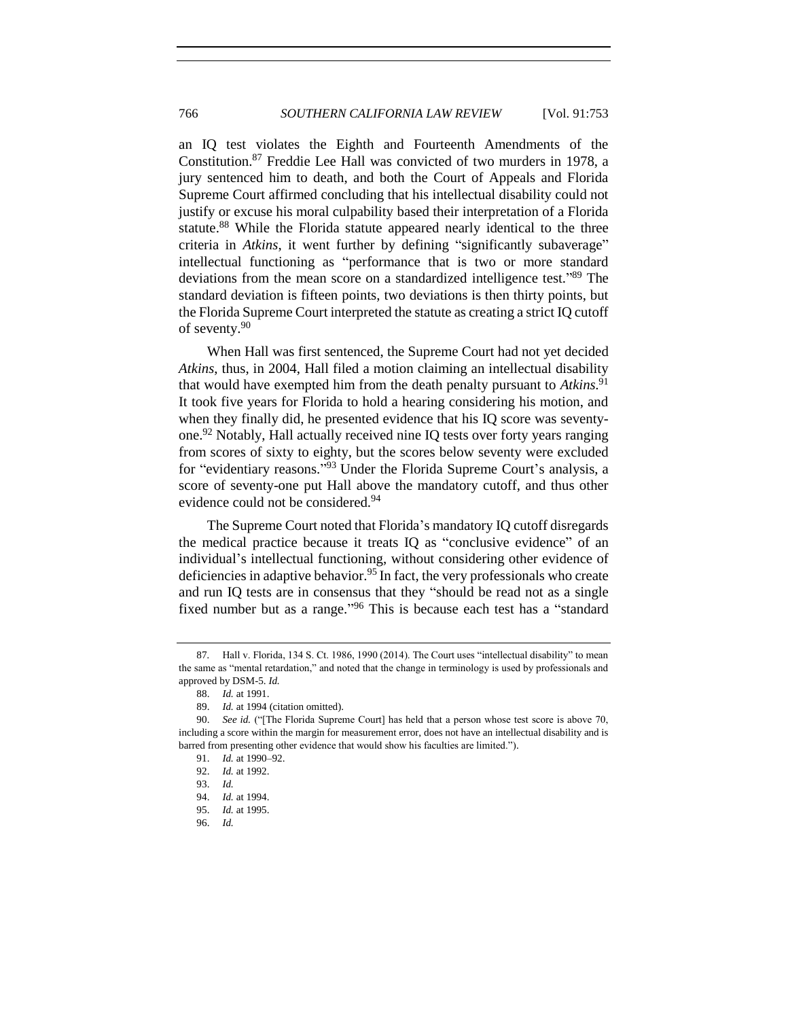an IQ test violates the Eighth and Fourteenth Amendments of the Constitution. <sup>87</sup> Freddie Lee Hall was convicted of two murders in 1978, a jury sentenced him to death, and both the Court of Appeals and Florida Supreme Court affirmed concluding that his intellectual disability could not justify or excuse his moral culpability based their interpretation of a Florida statute.<sup>88</sup> While the Florida statute appeared nearly identical to the three criteria in *Atkins*, it went further by defining "significantly subaverage" intellectual functioning as "performance that is two or more standard deviations from the mean score on a standardized intelligence test." <sup>89</sup> The standard deviation is fifteen points, two deviations is then thirty points, but the Florida Supreme Court interpreted the statute as creating a strict IQ cutoff of seventy. 90

When Hall was first sentenced, the Supreme Court had not yet decided *Atkins*, thus, in 2004, Hall filed a motion claiming an intellectual disability that would have exempted him from the death penalty pursuant to *Atkins*. 91 It took five years for Florida to hold a hearing considering his motion, and when they finally did, he presented evidence that his IQ score was seventyone. <sup>92</sup> Notably, Hall actually received nine IQ tests over forty years ranging from scores of sixty to eighty, but the scores below seventy were excluded for "evidentiary reasons."<sup>93</sup> Under the Florida Supreme Court's analysis, a score of seventy-one put Hall above the mandatory cutoff, and thus other evidence could not be considered.<sup>94</sup>

The Supreme Court noted that Florida's mandatory IQ cutoff disregards the medical practice because it treats IQ as "conclusive evidence" of an individual's intellectual functioning, without considering other evidence of deficiencies in adaptive behavior.<sup>95</sup> In fact, the very professionals who create and run IQ tests are in consensus that they "should be read not as a single fixed number but as a range."<sup>96</sup> This is because each test has a "standard

<sup>87</sup>*.* Hall v. Florida, 134 S. Ct. 1986, 1990 (2014). The Court uses "intellectual disability" to mean the same as "mental retardation," and noted that the change in terminology is used by professionals and approved by DSM-5. *Id.* 

<sup>88.</sup> *Id.* at 1991.

<sup>89.</sup> *Id.* at 1994 (citation omitted).

<sup>90.</sup> *See id.* ("[The Florida Supreme Court] has held that a person whose test score is above 70, including a score within the margin for measurement error, does not have an intellectual disability and is barred from presenting other evidence that would show his faculties are limited.").

<sup>91.</sup> *Id.* at 1990–92.

<sup>92.</sup> *Id.* at 1992.

<sup>93.</sup> *Id.*

<sup>94.</sup> *Id.* at 1994.

<sup>95.</sup> *Id.* at 1995.

<sup>96.</sup> *Id.*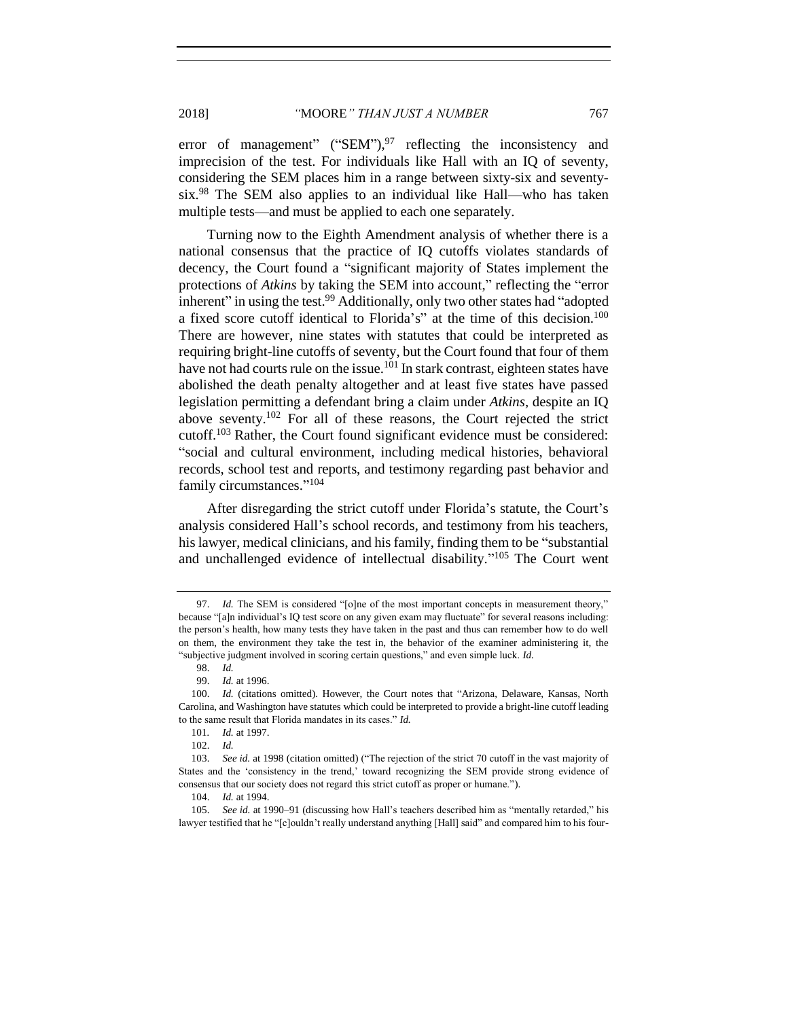error of management" ("SEM"),<sup>97</sup> reflecting the inconsistency and imprecision of the test. For individuals like Hall with an IQ of seventy, considering the SEM places him in a range between sixty-six and seventysix.<sup>98</sup> The SEM also applies to an individual like Hall—who has taken multiple tests—and must be applied to each one separately.

Turning now to the Eighth Amendment analysis of whether there is a national consensus that the practice of IQ cutoffs violates standards of decency, the Court found a "significant majority of States implement the protections of *Atkins* by taking the SEM into account," reflecting the "error inherent" in using the test.<sup>99</sup> Additionally, only two other states had "adopted" a fixed score cutoff identical to Florida's" at the time of this decision.<sup>100</sup> There are however, nine states with statutes that could be interpreted as requiring bright-line cutoffs of seventy, but the Court found that four of them have not had courts rule on the issue.<sup>101</sup> In stark contrast, eighteen states have abolished the death penalty altogether and at least five states have passed legislation permitting a defendant bring a claim under *Atkins*, despite an IQ above seventy. <sup>102</sup> For all of these reasons, the Court rejected the strict cutoff.<sup>103</sup> Rather, the Court found significant evidence must be considered: "social and cultural environment, including medical histories, behavioral records, school test and reports, and testimony regarding past behavior and family circumstances."<sup>104</sup>

After disregarding the strict cutoff under Florida's statute, the Court's analysis considered Hall's school records, and testimony from his teachers, his lawyer, medical clinicians, and his family, finding them to be "substantial and unchallenged evidence of intellectual disability." <sup>105</sup> The Court went

<sup>97.</sup> *Id.* The SEM is considered "[o]ne of the most important concepts in measurement theory," because "[a]n individual's IQ test score on any given exam may fluctuate" for several reasons including: the person's health, how many tests they have taken in the past and thus can remember how to do well on them, the environment they take the test in, the behavior of the examiner administering it, the "subjective judgment involved in scoring certain questions," and even simple luck. *Id.*

<sup>98.</sup> *Id.*

<sup>99.</sup> *Id.* at 1996.

<sup>100.</sup> *Id.* (citations omitted). However, the Court notes that "Arizona, Delaware, Kansas, North Carolina, and Washington have statutes which could be interpreted to provide a bright-line cutoff leading to the same result that Florida mandates in its cases." *Id.*

<sup>101</sup>*. Id.* at 1997.

<sup>102.</sup> *Id.*

<sup>103.</sup> *See id.* at 1998 (citation omitted) ("The rejection of the strict 70 cutoff in the vast majority of States and the 'consistency in the trend,' toward recognizing the SEM provide strong evidence of consensus that our society does not regard this strict cutoff as proper or humane.").

<sup>104.</sup> *Id.* at 1994.

<sup>105.</sup> *See id.* at 1990–91 (discussing how Hall's teachers described him as "mentally retarded," his lawyer testified that he "[c]ouldn't really understand anything [Hall] said" and compared him to his four-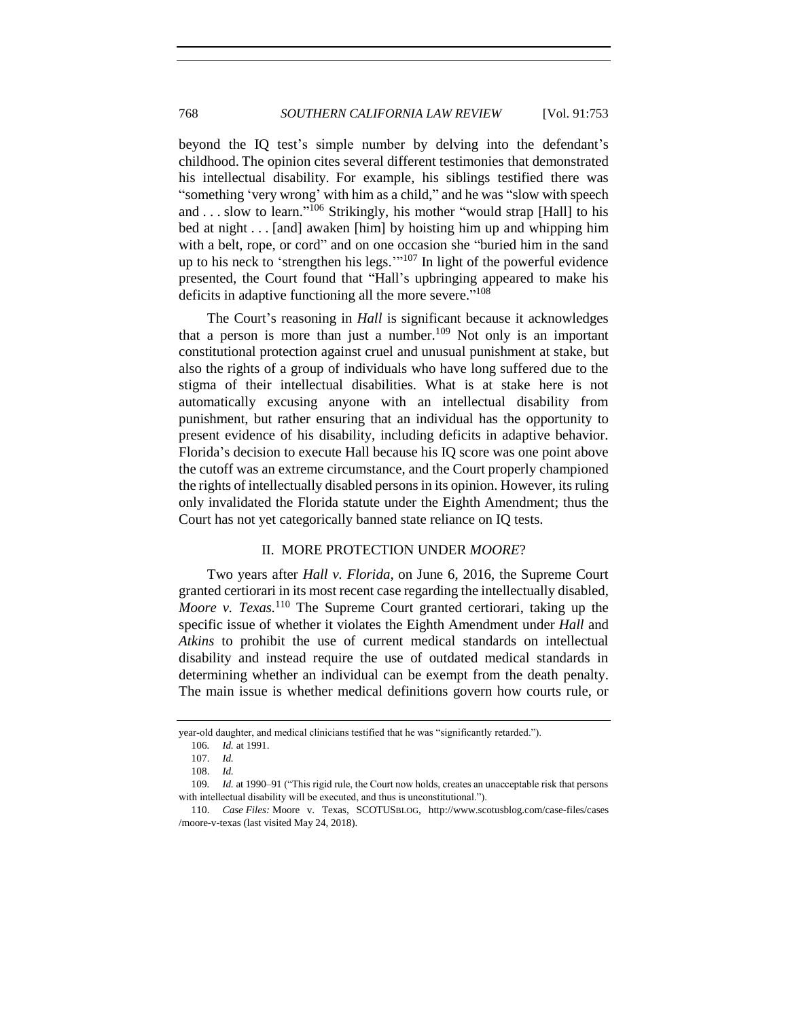beyond the IQ test's simple number by delving into the defendant's childhood. The opinion cites several different testimonies that demonstrated his intellectual disability. For example, his siblings testified there was "something 'very wrong' with him as a child," and he was "slow with speech and ... slow to learn."<sup>106</sup> Strikingly, his mother "would strap [Hall] to his bed at night . . . [and] awaken [him] by hoisting him up and whipping him with a belt, rope, or cord" and on one occasion she "buried him in the sand up to his neck to 'strengthen his legs. $\cdot$ "<sup>107</sup> In light of the powerful evidence presented, the Court found that "Hall's upbringing appeared to make his deficits in adaptive functioning all the more severe."<sup>108</sup>

The Court's reasoning in *Hall* is significant because it acknowledges that a person is more than just a number.<sup>109</sup> Not only is an important constitutional protection against cruel and unusual punishment at stake, but also the rights of a group of individuals who have long suffered due to the stigma of their intellectual disabilities. What is at stake here is not automatically excusing anyone with an intellectual disability from punishment, but rather ensuring that an individual has the opportunity to present evidence of his disability, including deficits in adaptive behavior. Florida's decision to execute Hall because his IQ score was one point above the cutoff was an extreme circumstance, and the Court properly championed the rights of intellectually disabled persons in its opinion. However, its ruling only invalidated the Florida statute under the Eighth Amendment; thus the Court has not yet categorically banned state reliance on IQ tests.

## II. MORE PROTECTION UNDER *MOORE*?

<span id="page-15-0"></span>Two years after *Hall v. Florida,* on June 6, 2016, the Supreme Court granted certiorari in its most recent case regarding the intellectually disabled, *Moore v. Texas.*<sup>110</sup> The Supreme Court granted certiorari, taking up the specific issue of whether it violates the Eighth Amendment under *Hall* and *Atkins* to prohibit the use of current medical standards on intellectual disability and instead require the use of outdated medical standards in determining whether an individual can be exempt from the death penalty. The main issue is whether medical definitions govern how courts rule, or

year-old daughter, and medical clinicians testified that he was "significantly retarded.").

<sup>106</sup>*. Id.* at 1991.

<sup>107.</sup> *Id.* 

<sup>108.</sup> *Id.*

<sup>109</sup>*. Id.* at 1990–91 ("This rigid rule, the Court now holds, creates an unacceptable risk that persons with intellectual disability will be executed, and thus is unconstitutional.").

<sup>110.</sup> *Case Files:* Moore v. Texas, SCOTUSBLOG, http://www.scotusblog.com/case-files/cases /moore-v-texas (last visited May 24, 2018).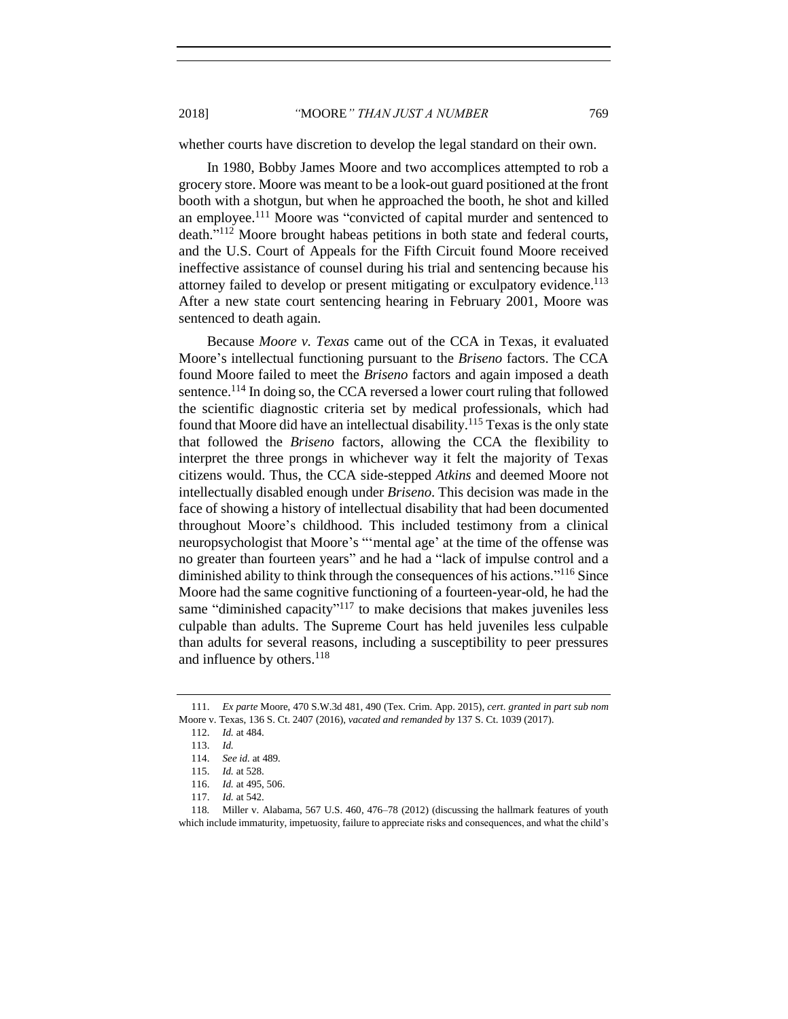whether courts have discretion to develop the legal standard on their own.

In 1980, Bobby James Moore and two accomplices attempted to rob a grocery store. Moore was meant to be a look-out guard positioned at the front booth with a shotgun, but when he approached the booth, he shot and killed an employee.<sup>111</sup> Moore was "convicted of capital murder and sentenced to death."<sup>112</sup> Moore brought habeas petitions in both state and federal courts, and the U.S. Court of Appeals for the Fifth Circuit found Moore received ineffective assistance of counsel during his trial and sentencing because his attorney failed to develop or present mitigating or exculpatory evidence.<sup>113</sup> After a new state court sentencing hearing in February 2001, Moore was sentenced to death again.

Because *Moore v. Texas* came out of the CCA in Texas, it evaluated Moore's intellectual functioning pursuant to the *Briseno* factors. The CCA found Moore failed to meet the *Briseno* factors and again imposed a death sentence.<sup>114</sup> In doing so, the CCA reversed a lower court ruling that followed the scientific diagnostic criteria set by medical professionals, which had found that Moore did have an intellectual disability.<sup>115</sup> Texas is the only state that followed the *Briseno* factors, allowing the CCA the flexibility to interpret the three prongs in whichever way it felt the majority of Texas citizens would. Thus, the CCA side-stepped *Atkins* and deemed Moore not intellectually disabled enough under *Briseno*. This decision was made in the face of showing a history of intellectual disability that had been documented throughout Moore's childhood. This included testimony from a clinical neuropsychologist that Moore's "'mental age' at the time of the offense was no greater than fourteen years" and he had a "lack of impulse control and a diminished ability to think through the consequences of his actions."<sup>116</sup> Since Moore had the same cognitive functioning of a fourteen-year-old, he had the same "diminished capacity"<sup>117</sup> to make decisions that makes juveniles less culpable than adults. The Supreme Court has held juveniles less culpable than adults for several reasons, including a susceptibility to peer pressures and influence by others.<sup>118</sup>

<sup>111.</sup> *Ex parte* Moore, 470 S.W.3d 481, 490 (Tex. Crim. App. 2015), *cert. granted in part sub nom* Moore v. Texas, 136 S. Ct. 2407 (2016), *vacated and remanded by* 137 S. Ct. 1039 (2017).

<sup>112.</sup> *Id.* at 484.

<sup>113.</sup> *Id.*

<sup>114.</sup> *See id.* at 489*.* 

<sup>115.</sup> *Id.* at 528.

<sup>116.</sup> *Id.* at 495, 506.

<sup>117.</sup> *Id.* at 542.

<sup>118</sup>*.* Miller v. Alabama, 567 U.S. 460, 476–78 (2012) (discussing the hallmark features of youth which include immaturity, impetuosity, failure to appreciate risks and consequences, and what the child's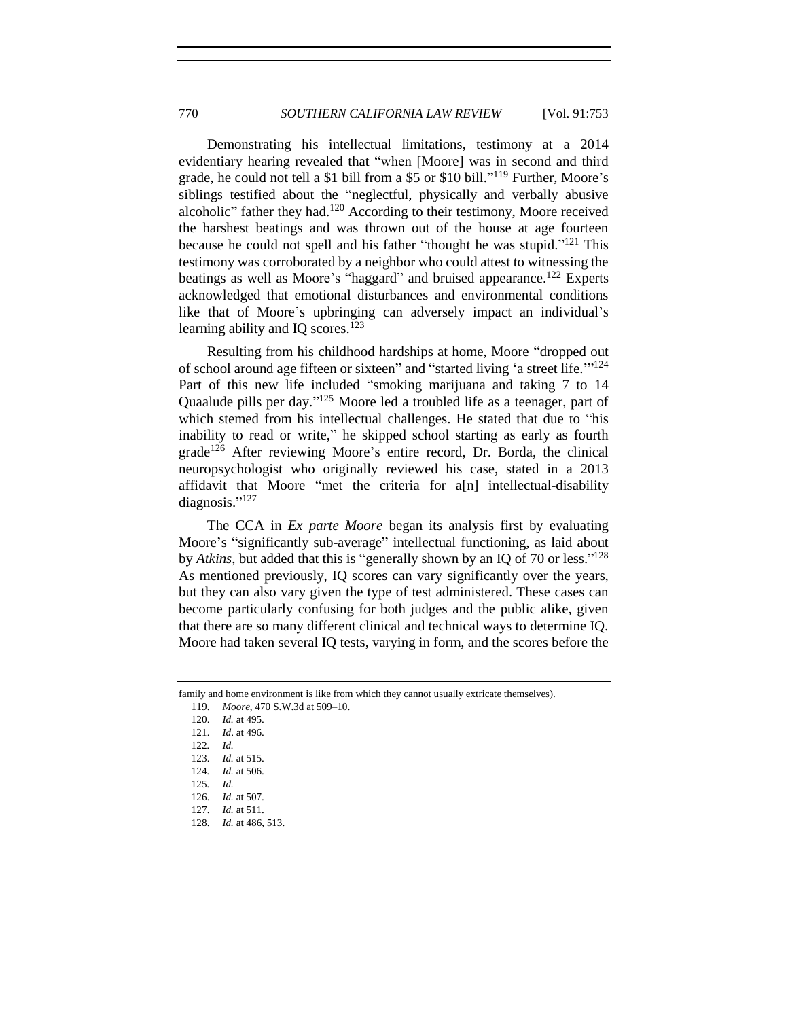Demonstrating his intellectual limitations, testimony at a 2014 evidentiary hearing revealed that "when [Moore] was in second and third grade, he could not tell a \$1 bill from a \$5 or \$10 bill." <sup>119</sup> Further, Moore's siblings testified about the "neglectful, physically and verbally abusive alcoholic" father they had.<sup>120</sup> According to their testimony, Moore received the harshest beatings and was thrown out of the house at age fourteen because he could not spell and his father "thought he was stupid."<sup>121</sup> This testimony was corroborated by a neighbor who could attest to witnessing the beatings as well as Moore's "haggard" and bruised appearance.<sup>122</sup> Experts acknowledged that emotional disturbances and environmental conditions like that of Moore's upbringing can adversely impact an individual's learning ability and IO scores. $123$ 

Resulting from his childhood hardships at home, Moore "dropped out of school around age fifteen or sixteen" and "started living 'a street life."<sup>124</sup> Part of this new life included "smoking marijuana and taking 7 to 14 Quaalude pills per day."<sup>125</sup> Moore led a troubled life as a teenager, part of which stemed from his intellectual challenges. He stated that due to "his inability to read or write," he skipped school starting as early as fourth grade<sup>126</sup> After reviewing Moore's entire record, Dr. Borda, the clinical neuropsychologist who originally reviewed his case, stated in a 2013 affidavit that Moore "met the criteria for a[n] intellectual-disability diagnosis."<sup>127</sup>

The CCA in *Ex parte Moore* began its analysis first by evaluating Moore's "significantly sub-average" intellectual functioning, as laid about by *Atkins*, but added that this is "generally shown by an IQ of 70 or less."<sup>128</sup> As mentioned previously, IQ scores can vary significantly over the years, but they can also vary given the type of test administered. These cases can become particularly confusing for both judges and the public alike, given that there are so many different clinical and technical ways to determine IQ. Moore had taken several IQ tests, varying in form, and the scores before the

family and home environment is like from which they cannot usually extricate themselves).

<sup>119.</sup> *Moore*, 470 S.W.3d at 509–10.

<sup>120.</sup> *Id.* at 495.

<sup>121.</sup> *Id*. at 496.

<sup>122</sup>*. Id.*

<sup>123.</sup> *Id.* at 515.

<sup>124</sup>*. Id.* at 506.

<sup>125</sup>*. Id.* 

<sup>126.</sup> *Id.* at 507. 127. *Id.* at 511.

<sup>128.</sup> *Id.* at 486, 513.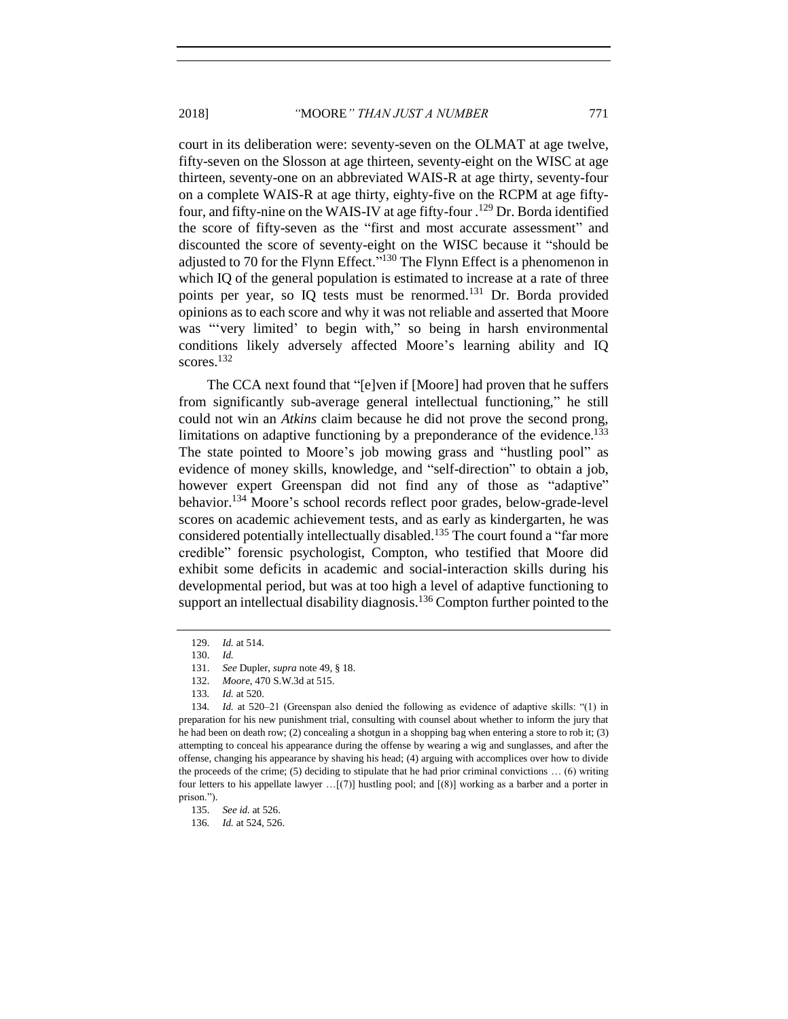court in its deliberation were: seventy-seven on the OLMAT at age twelve, fifty-seven on the Slosson at age thirteen, seventy-eight on the WISC at age thirteen, seventy-one on an abbreviated WAIS-R at age thirty, seventy-four on a complete WAIS-R at age thirty, eighty-five on the RCPM at age fiftyfour, and fifty-nine on the WAIS-IV at age fifty-four . <sup>129</sup> Dr. Borda identified the score of fifty-seven as the "first and most accurate assessment" and discounted the score of seventy-eight on the WISC because it "should be adjusted to 70 for the Flynn Effect."<sup>130</sup> The Flynn Effect is a phenomenon in which IQ of the general population is estimated to increase at a rate of three points per year, so IQ tests must be renormed.<sup>131</sup> Dr. Borda provided opinions as to each score and why it was not reliable and asserted that Moore was "'very limited' to begin with," so being in harsh environmental conditions likely adversely affected Moore's learning ability and IQ scores.<sup>132</sup>

The CCA next found that "[e]ven if [Moore] had proven that he suffers from significantly sub-average general intellectual functioning," he still could not win an *Atkins* claim because he did not prove the second prong, limitations on adaptive functioning by a preponderance of the evidence.<sup>133</sup> The state pointed to Moore's job mowing grass and "hustling pool" as evidence of money skills, knowledge, and "self-direction" to obtain a job, however expert Greenspan did not find any of those as "adaptive" behavior.<sup>134</sup> Moore's school records reflect poor grades, below-grade-level scores on academic achievement tests, and as early as kindergarten, he was considered potentially intellectually disabled.<sup>135</sup> The court found a "far more credible" forensic psychologist, Compton, who testified that Moore did exhibit some deficits in academic and social-interaction skills during his developmental period, but was at too high a level of adaptive functioning to support an intellectual disability diagnosis.<sup>136</sup> Compton further pointed to the

<sup>129.</sup> *Id.* at 514.

<sup>130.</sup> *Id.*

<sup>131.</sup> *See* Dupler, *supra* not[e 49,](#page-7-2) § 18.

<sup>132.</sup> *Moore*, 470 S.W.3d at 515.

<sup>133</sup>*. Id.* at 520.

<sup>134</sup>*. Id.* at 520–21 (Greenspan also denied the following as evidence of adaptive skills: "(1) in preparation for his new punishment trial, consulting with counsel about whether to inform the jury that he had been on death row; (2) concealing a shotgun in a shopping bag when entering a store to rob it; (3) attempting to conceal his appearance during the offense by wearing a wig and sunglasses, and after the offense, changing his appearance by shaving his head; (4) arguing with accomplices over how to divide the proceeds of the crime; (5) deciding to stipulate that he had prior criminal convictions  $\dots$  (6) writing four letters to his appellate lawyer …[(7)] hustling pool; and [(8)] working as a barber and a porter in prison.").

<sup>135.</sup> *See id.* at 526.

<sup>136</sup>*. Id.* at 524, 526.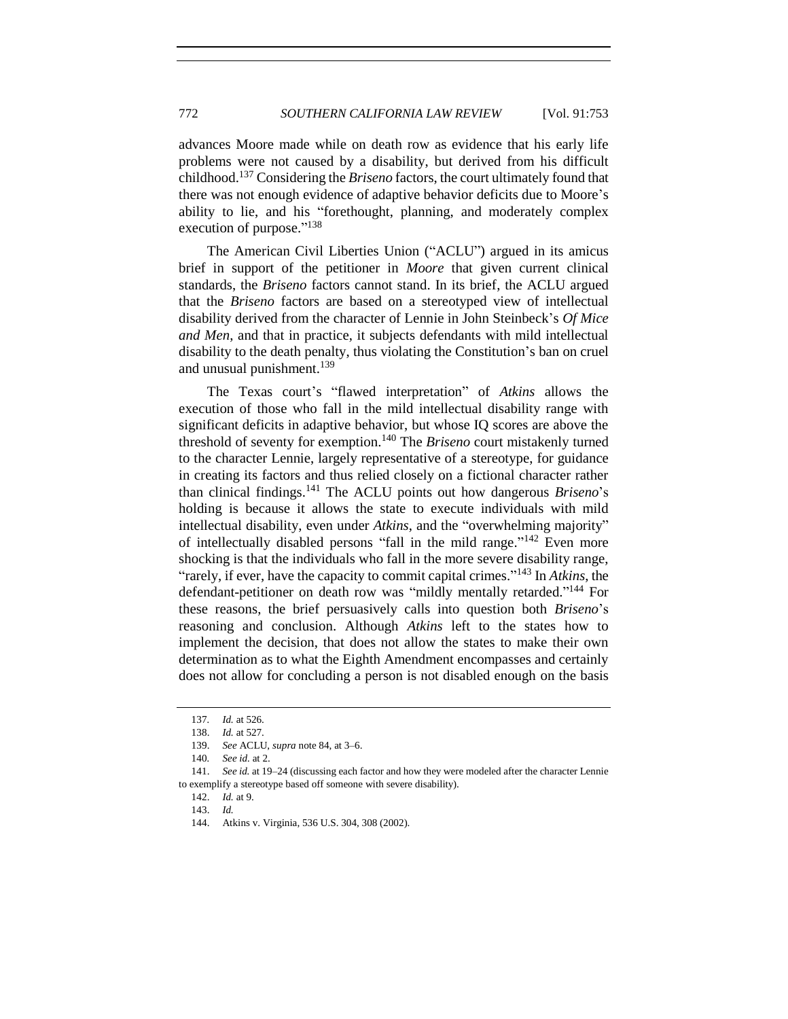advances Moore made while on death row as evidence that his early life problems were not caused by a disability, but derived from his difficult childhood. <sup>137</sup> Considering the *Briseno* factors, the court ultimately found that there was not enough evidence of adaptive behavior deficits due to Moore's ability to lie, and his "forethought, planning, and moderately complex execution of purpose."<sup>138</sup>

The American Civil Liberties Union ("ACLU") argued in its amicus brief in support of the petitioner in *Moore* that given current clinical standards, the *Briseno* factors cannot stand. In its brief, the ACLU argued that the *Briseno* factors are based on a stereotyped view of intellectual disability derived from the character of Lennie in John Steinbeck's *Of Mice and Men*, and that in practice, it subjects defendants with mild intellectual disability to the death penalty, thus violating the Constitution's ban on cruel and unusual punishment.<sup>139</sup>

The Texas court's "flawed interpretation" of *Atkins* allows the execution of those who fall in the mild intellectual disability range with significant deficits in adaptive behavior, but whose IQ scores are above the threshold of seventy for exemption.<sup>140</sup> The *Briseno* court mistakenly turned to the character Lennie, largely representative of a stereotype, for guidance in creating its factors and thus relied closely on a fictional character rather than clinical findings.<sup>141</sup> The ACLU points out how dangerous *Briseno*'s holding is because it allows the state to execute individuals with mild intellectual disability, even under *Atkins*, and the "overwhelming majority" of intellectually disabled persons "fall in the mild range."<sup>142</sup> Even more shocking is that the individuals who fall in the more severe disability range, "rarely, if ever, have the capacity to commit capital crimes."<sup>143</sup> In *Atkins*, the defendant-petitioner on death row was "mildly mentally retarded."<sup>144</sup> For these reasons, the brief persuasively calls into question both *Briseno*'s reasoning and conclusion. Although *Atkins* left to the states how to implement the decision, that does not allow the states to make their own determination as to what the Eighth Amendment encompasses and certainly does not allow for concluding a person is not disabled enough on the basis

<sup>137</sup>*. Id.* at 526.

<sup>138.</sup> *Id.* at 527.

<sup>139.</sup> *See* ACLU, *supra* note [84,](#page-12-1) at 3–6.

<sup>140</sup>*. See id.* at 2.

<sup>141.</sup> *See id.* at 19–24 (discussing each factor and how they were modeled after the character Lennie to exemplify a stereotype based off someone with severe disability).

<sup>142.</sup> *Id.* at 9.

<sup>143.</sup> *Id.*

<sup>144.</sup> Atkins v. Virginia, 536 U.S. 304, 308 (2002).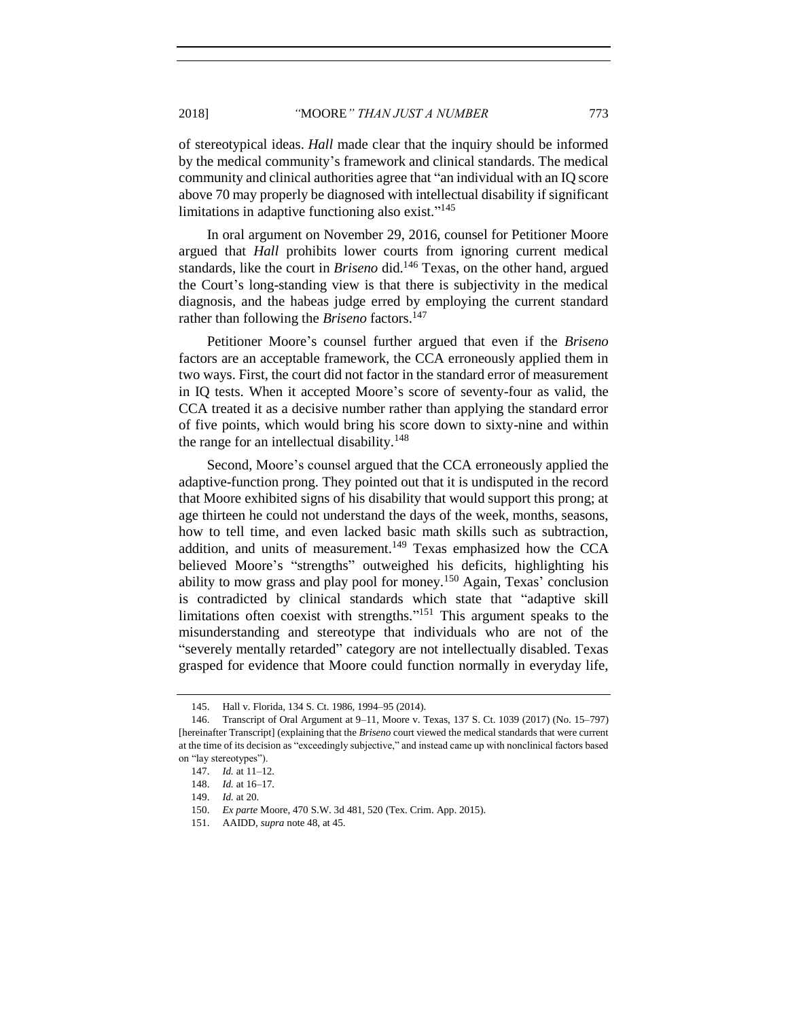of stereotypical ideas. *Hall* made clear that the inquiry should be informed by the medical community's framework and clinical standards. The medical community and clinical authorities agree that "an individual with an IQ score above 70 may properly be diagnosed with intellectual disability if significant limitations in adaptive functioning also exist."<sup>145</sup>

<span id="page-20-0"></span>In oral argument on November 29, 2016, counsel for Petitioner Moore argued that *Hall* prohibits lower courts from ignoring current medical standards, like the court in *Briseno* did.<sup>146</sup> Texas, on the other hand, argued the Court's long-standing view is that there is subjectivity in the medical diagnosis, and the habeas judge erred by employing the current standard rather than following the *Briseno* factors.<sup>147</sup>

Petitioner Moore's counsel further argued that even if the *Briseno* factors are an acceptable framework, the CCA erroneously applied them in two ways. First, the court did not factor in the standard error of measurement in IQ tests. When it accepted Moore's score of seventy-four as valid, the CCA treated it as a decisive number rather than applying the standard error of five points, which would bring his score down to sixty-nine and within the range for an intellectual disability.<sup>148</sup>

Second, Moore's counsel argued that the CCA erroneously applied the adaptive-function prong. They pointed out that it is undisputed in the record that Moore exhibited signs of his disability that would support this prong; at age thirteen he could not understand the days of the week, months, seasons, how to tell time, and even lacked basic math skills such as subtraction, addition, and units of measurement.<sup>149</sup> Texas emphasized how the CCA believed Moore's "strengths" outweighed his deficits, highlighting his ability to mow grass and play pool for money.<sup>150</sup> Again, Texas' conclusion is contradicted by clinical standards which state that "adaptive skill limitations often coexist with strengths."<sup>151</sup> This argument speaks to the misunderstanding and stereotype that individuals who are not of the "severely mentally retarded" category are not intellectually disabled. Texas grasped for evidence that Moore could function normally in everyday life,

<sup>145.</sup> Hall v. Florida, 134 S. Ct. 1986, 1994–95 (2014).

<sup>146.</sup> Transcript of Oral Argument at 9–11, Moore v. Texas, 137 S. Ct. 1039 (2017) (No. 15–797) [hereinafter Transcript] (explaining that the *Briseno* court viewed the medical standards that were current at the time of its decision as "exceedingly subjective," and instead came up with nonclinical factors based on "lay stereotypes").

<sup>147.</sup> *Id.* at 11–12.

<sup>148.</sup> *Id.* at 16–17.

<sup>149.</sup> *Id.* at 20.

<sup>150.</sup> *Ex parte* Moore, 470 S.W. 3d 481, 520 (Tex. Crim. App. 2015).

<sup>151.</sup> AAIDD, *supra* note [48,](#page-7-3) at 45.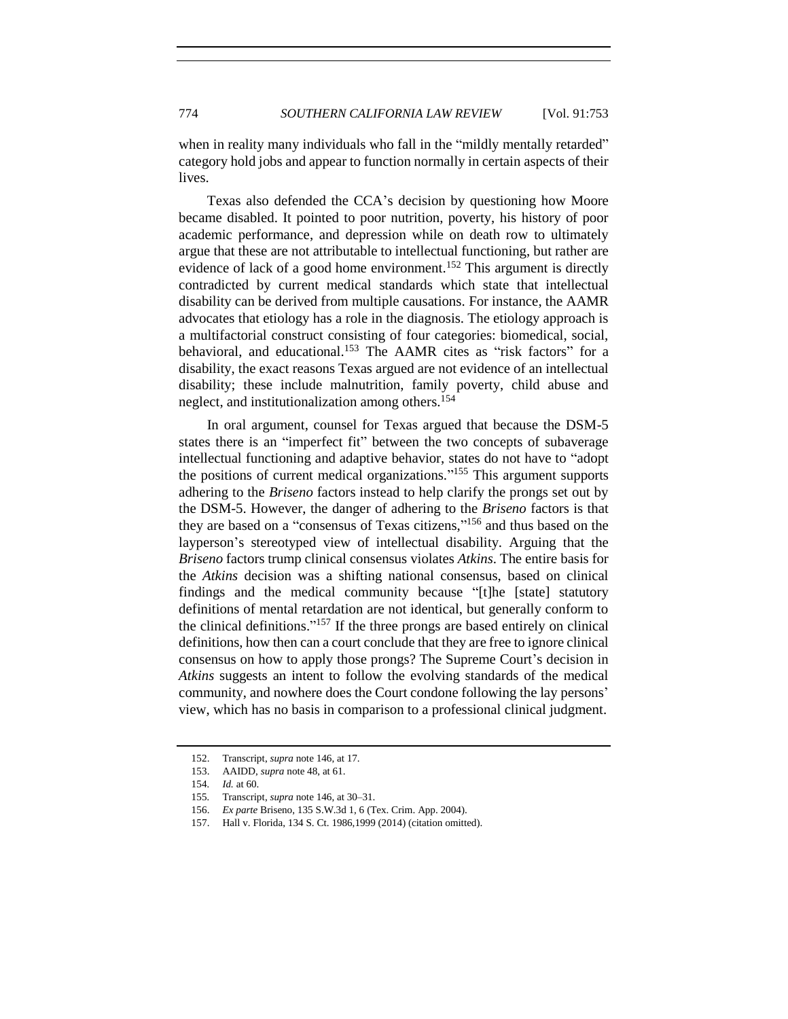when in reality many individuals who fall in the "mildly mentally retarded" category hold jobs and appear to function normally in certain aspects of their lives.

Texas also defended the CCA's decision by questioning how Moore became disabled. It pointed to poor nutrition, poverty, his history of poor academic performance, and depression while on death row to ultimately argue that these are not attributable to intellectual functioning, but rather are evidence of lack of a good home environment.<sup>152</sup> This argument is directly contradicted by current medical standards which state that intellectual disability can be derived from multiple causations. For instance, the AAMR advocates that etiology has a role in the diagnosis. The etiology approach is a multifactorial construct consisting of four categories: biomedical, social, behavioral, and educational.<sup>153</sup> The AAMR cites as "risk factors" for a disability, the exact reasons Texas argued are not evidence of an intellectual disability; these include malnutrition, family poverty, child abuse and neglect, and institutionalization among others.<sup>154</sup>

In oral argument, counsel for Texas argued that because the DSM-5 states there is an "imperfect fit" between the two concepts of subaverage intellectual functioning and adaptive behavior, states do not have to "adopt the positions of current medical organizations." <sup>155</sup> This argument supports adhering to the *Briseno* factors instead to help clarify the prongs set out by the DSM-5. However, the danger of adhering to the *Briseno* factors is that they are based on a "consensus of Texas citizens,"<sup>156</sup> and thus based on the layperson's stereotyped view of intellectual disability. Arguing that the *Briseno* factors trump clinical consensus violates *Atkins*. The entire basis for the *Atkins* decision was a shifting national consensus, based on clinical findings and the medical community because "[t]he [state] statutory definitions of mental retardation are not identical, but generally conform to the clinical definitions."<sup>157</sup> If the three prongs are based entirely on clinical definitions, how then can a court conclude that they are free to ignore clinical consensus on how to apply those prongs? The Supreme Court's decision in *Atkins* suggests an intent to follow the evolving standards of the medical community, and nowhere does the Court condone following the lay persons' view, which has no basis in comparison to a professional clinical judgment.

<sup>152.</sup> Transcript, *supra* note [146,](#page-20-0) at 17.

<sup>153.</sup> AAIDD, *supra* note [48,](#page-7-3) at 61.

<sup>154</sup>*. Id.* at 60.

<sup>155</sup>*.* Transcript, *supra* note [146,](#page-20-0) at 30–31.

<sup>156.</sup> *Ex parte* Briseno, 135 S.W.3d 1, 6 (Tex. Crim. App. 2004).

<sup>157.</sup> Hall v. Florida, 134 S. Ct. 1986,1999 (2014) (citation omitted).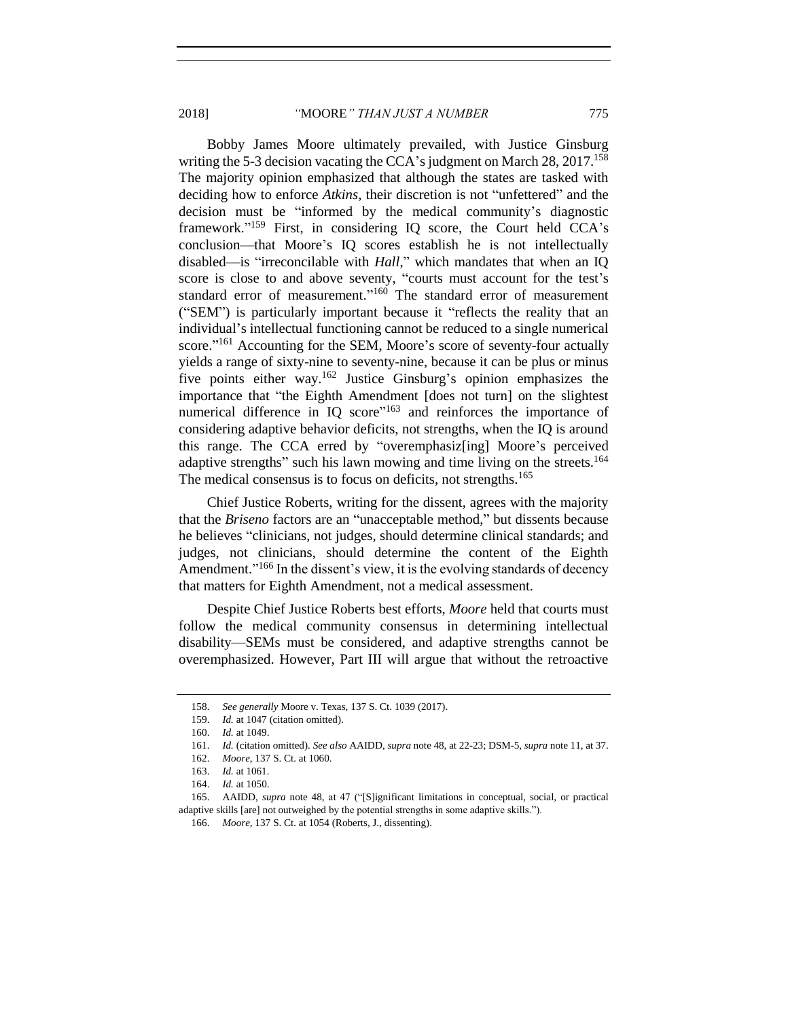2018] *"*MOORE*" THAN JUST A NUMBER* 775

Bobby James Moore ultimately prevailed, with Justice Ginsburg writing the 5-3 decision vacating the CCA's judgment on March  $28$ ,  $2017$ <sup>158</sup> The majority opinion emphasized that although the states are tasked with deciding how to enforce *Atkins*, their discretion is not "unfettered" and the decision must be "informed by the medical community's diagnostic framework."<sup>159</sup> First, in considering IQ score, the Court held CCA's conclusion—that Moore's IQ scores establish he is not intellectually disabled—is "irreconcilable with *Hall*," which mandates that when an IQ score is close to and above seventy, "courts must account for the test's standard error of measurement."<sup>160</sup> The standard error of measurement ("SEM") is particularly important because it "reflects the reality that an individual's intellectual functioning cannot be reduced to a single numerical score."<sup>161</sup> Accounting for the SEM, Moore's score of seventy-four actually yields a range of sixty-nine to seventy-nine, because it can be plus or minus five points either way.<sup>162</sup> Justice Ginsburg's opinion emphasizes the importance that "the Eighth Amendment [does not turn] on the slightest numerical difference in IQ score"<sup>163</sup> and reinforces the importance of considering adaptive behavior deficits, not strengths, when the IQ is around this range. The CCA erred by "overemphasiz[ing] Moore's perceived adaptive strengths" such his lawn mowing and time living on the streets.<sup>164</sup> The medical consensus is to focus on deficits, not strengths.<sup>165</sup>

Chief Justice Roberts, writing for the dissent, agrees with the majority that the *Briseno* factors are an "unacceptable method," but dissents because he believes "clinicians, not judges, should determine clinical standards; and judges, not clinicians, should determine the content of the Eighth Amendment."<sup>166</sup> In the dissent's view, it is the evolving standards of decency that matters for Eighth Amendment, not a medical assessment.

Despite Chief Justice Roberts best efforts, *Moore* held that courts must follow the medical community consensus in determining intellectual disability—SEMs must be considered, and adaptive strengths cannot be overemphasized. However, Part III will argue that without the retroactive

<sup>158.</sup> *See generally* Moore v. Texas, 137 S. Ct. 1039 (2017).

<sup>159.</sup> *Id.* at 1047 (citation omitted).

<sup>160.</sup> *Id.* at 1049.

<sup>161.</sup> *Id.* (citation omitted). *See also* AAIDD, *supra* not[e 48,](#page-7-3) at 22-23; DSM-5, *supra* not[e 11,](#page-2-0) at 37.

<sup>162.</sup> *Moore*, 137 S. Ct. at 1060.

<sup>163.</sup> *Id.* at 1061.

<sup>164.</sup> *Id.* at 1050.

<sup>165.</sup> AAIDD, *supra* note [48,](#page-7-3) at 47 ("[S]ignificant limitations in conceptual, social, or practical adaptive skills [are] not outweighed by the potential strengths in some adaptive skills.").

<sup>166.</sup> *Moore*, 137 S. Ct. at 1054 (Roberts, J., dissenting).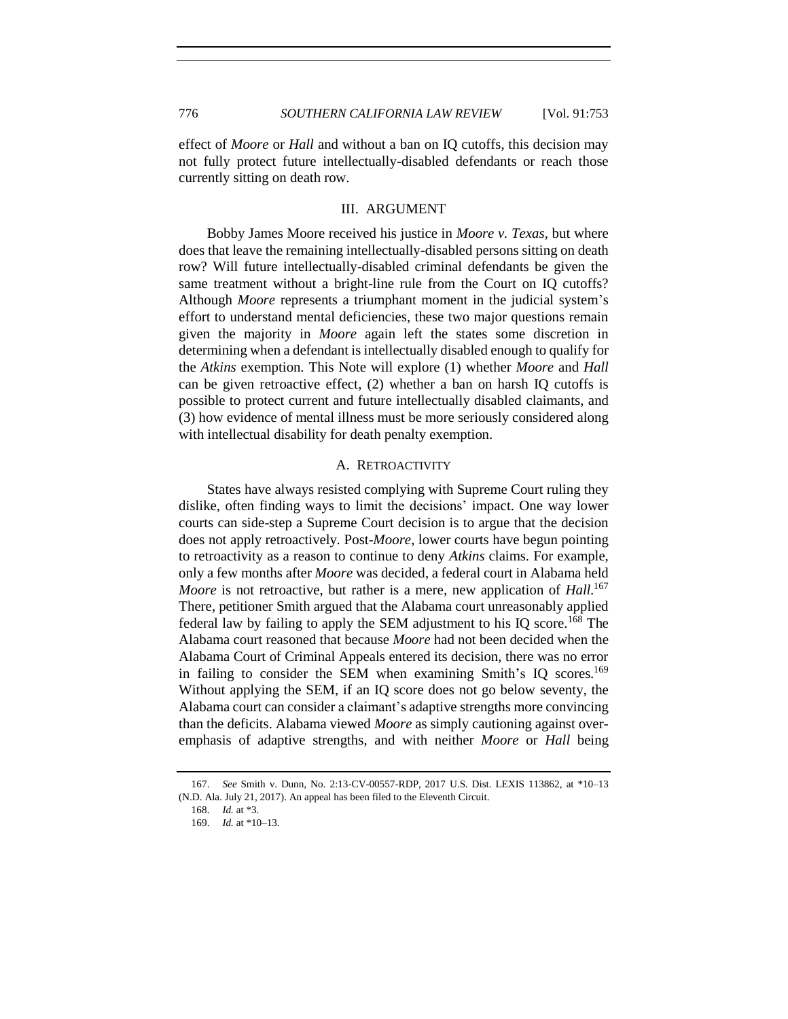effect of *Moore* or *Hall* and without a ban on IQ cutoffs, this decision may not fully protect future intellectually-disabled defendants or reach those currently sitting on death row.

# III. ARGUMENT

<span id="page-23-0"></span>Bobby James Moore received his justice in *Moore v. Texas*, but where does that leave the remaining intellectually-disabled persons sitting on death row? Will future intellectually-disabled criminal defendants be given the same treatment without a bright-line rule from the Court on IQ cutoffs? Although *Moore* represents a triumphant moment in the judicial system's effort to understand mental deficiencies, these two major questions remain given the majority in *Moore* again left the states some discretion in determining when a defendant is intellectually disabled enough to qualify for the *Atkins* exemption. This Note will explore (1) whether *Moore* and *Hall* can be given retroactive effect, (2) whether a ban on harsh IQ cutoffs is possible to protect current and future intellectually disabled claimants, and (3) how evidence of mental illness must be more seriously considered along with intellectual disability for death penalty exemption.

# A. RETROACTIVITY

<span id="page-23-1"></span>States have always resisted complying with Supreme Court ruling they dislike, often finding ways to limit the decisions' impact. One way lower courts can side-step a Supreme Court decision is to argue that the decision does not apply retroactively. Post-*Moore*, lower courts have begun pointing to retroactivity as a reason to continue to deny *Atkins* claims. For example, only a few months after *Moore* was decided, a federal court in Alabama held *Moore* is not retroactive, but rather is a mere, new application of *Hall*. 167 There, petitioner Smith argued that the Alabama court unreasonably applied federal law by failing to apply the SEM adjustment to his IQ score.<sup>168</sup> The Alabama court reasoned that because *Moore* had not been decided when the Alabama Court of Criminal Appeals entered its decision, there was no error in failing to consider the SEM when examining Smith's IQ scores.<sup>169</sup> Without applying the SEM, if an IQ score does not go below seventy, the Alabama court can consider a claimant's adaptive strengths more convincing than the deficits. Alabama viewed *Moore* as simply cautioning against overemphasis of adaptive strengths, and with neither *Moore* or *Hall* being

<sup>167.</sup> *See* Smith v. Dunn, No. 2:13-CV-00557-RDP, 2017 U.S. Dist. LEXIS 113862, at \*10–13 (N.D. Ala. July 21, 2017). An appeal has been filed to the Eleventh Circuit.

<sup>168.</sup> *Id.* at \*3.

<sup>169.</sup> *Id.* at \*10–13.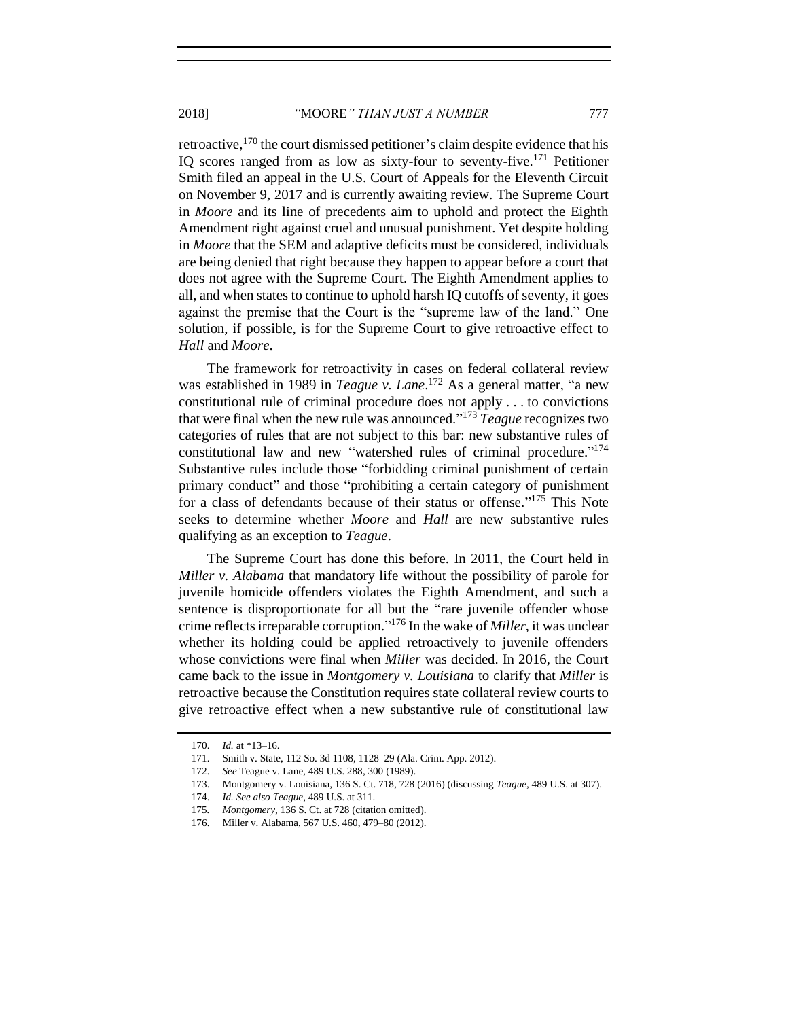retroactive,<sup>170</sup> the court dismissed petitioner's claim despite evidence that his IQ scores ranged from as low as sixty-four to seventy-five.<sup>171</sup> Petitioner Smith filed an appeal in the U.S. Court of Appeals for the Eleventh Circuit on November 9, 2017 and is currently awaiting review. The Supreme Court in *Moore* and its line of precedents aim to uphold and protect the Eighth Amendment right against cruel and unusual punishment. Yet despite holding in *Moore* that the SEM and adaptive deficits must be considered, individuals are being denied that right because they happen to appear before a court that does not agree with the Supreme Court. The Eighth Amendment applies to all, and when states to continue to uphold harsh IQ cutoffs of seventy, it goes against the premise that the Court is the "supreme law of the land." One solution, if possible, is for the Supreme Court to give retroactive effect to *Hall* and *Moore*.

The framework for retroactivity in cases on federal collateral review was established in 1989 in *Teague v. Lane*. <sup>172</sup> As a general matter, "a new constitutional rule of criminal procedure does not apply . . . to convictions that were final when the new rule was announced." <sup>173</sup> *Teague* recognizes two categories of rules that are not subject to this bar: new substantive rules of constitutional law and new "watershed rules of criminal procedure."<sup>174</sup> Substantive rules include those "forbidding criminal punishment of certain primary conduct" and those "prohibiting a certain category of punishment for a class of defendants because of their status or offense." <sup>175</sup> This Note seeks to determine whether *Moore* and *Hall* are new substantive rules qualifying as an exception to *Teague*.

The Supreme Court has done this before. In 2011, the Court held in *Miller v. Alabama* that mandatory life without the possibility of parole for juvenile homicide offenders violates the Eighth Amendment, and such a sentence is disproportionate for all but the "rare juvenile offender whose crime reflects irreparable corruption." <sup>176</sup> In the wake of *Miller*, it was unclear whether its holding could be applied retroactively to juvenile offenders whose convictions were final when *Miller* was decided. In 2016, the Court came back to the issue in *Montgomery v. Louisiana* to clarify that *Miller* is retroactive because the Constitution requires state collateral review courts to give retroactive effect when a new substantive rule of constitutional law

<sup>170.</sup> *Id.* at \*13–16.

<sup>171.</sup> Smith v. State, 112 So. 3d 1108, 1128–29 (Ala. Crim. App. 2012).

<sup>172.</sup> *See* Teague v. Lane, 489 U.S. 288, 300 (1989).

<sup>173.</sup> Montgomery v. Louisiana, 136 S. Ct. 718, 728 (2016) (discussing *Teague*, 489 U.S. at 307).

<sup>174.</sup> *Id. See also Teague*, 489 U.S. at 311.

<sup>175</sup>*. Montgomery*, 136 S. Ct. at 728 (citation omitted).

<sup>176.</sup> Miller v. Alabama, 567 U.S. 460, 479–80 (2012).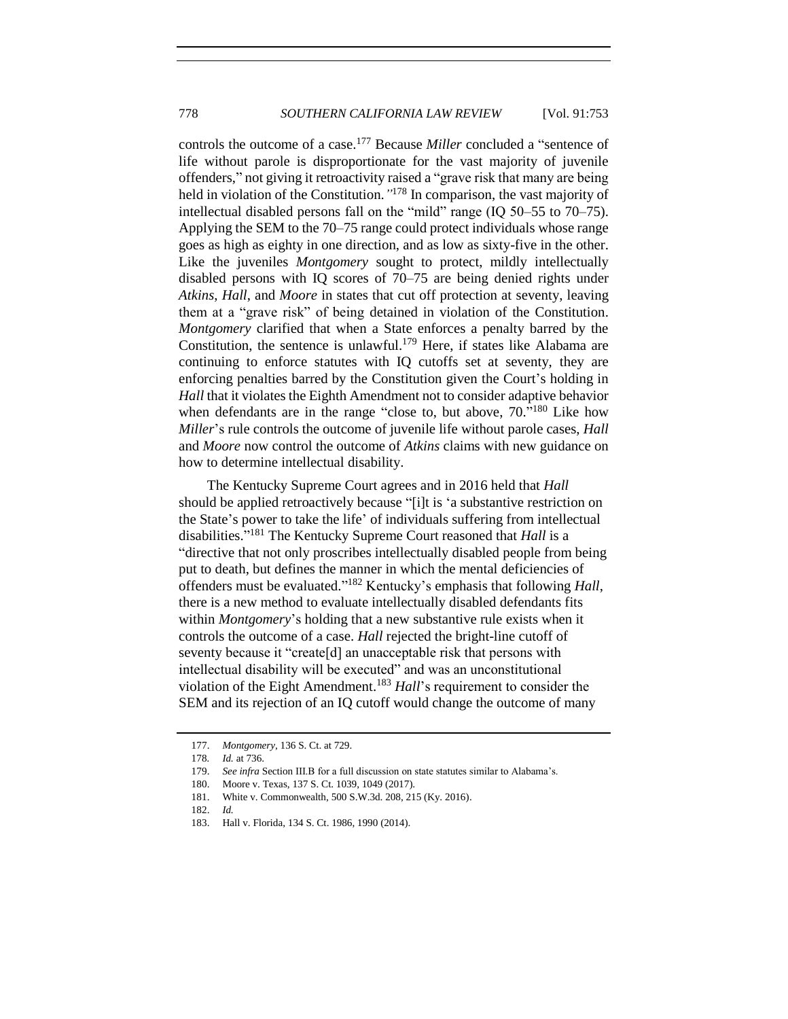controls the outcome of a case.<sup>177</sup> Because *Miller* concluded a "sentence of life without parole is disproportionate for the vast majority of juvenile offenders," not giving it retroactivity raised a "grave risk that many are being held in violation of the Constitution.*"* <sup>178</sup> In comparison, the vast majority of intellectual disabled persons fall on the "mild" range (IQ 50–55 to 70–75). Applying the SEM to the 70–75 range could protect individuals whose range goes as high as eighty in one direction, and as low as sixty-five in the other. Like the juveniles *Montgomery* sought to protect, mildly intellectually disabled persons with IQ scores of 70–75 are being denied rights under *Atkins*, *Hall*, and *Moore* in states that cut off protection at seventy, leaving them at a "grave risk" of being detained in violation of the Constitution. *Montgomery* clarified that when a State enforces a penalty barred by the Constitution, the sentence is unlawful.<sup>179</sup> Here, if states like Alabama are continuing to enforce statutes with IQ cutoffs set at seventy, they are enforcing penalties barred by the Constitution given the Court's holding in *Hall* that it violates the Eighth Amendment not to consider adaptive behavior when defendants are in the range "close to, but above, 70."<sup>180</sup> Like how *Miller*'s rule controls the outcome of juvenile life without parole cases, *Hall* and *Moore* now control the outcome of *Atkins* claims with new guidance on how to determine intellectual disability.

The Kentucky Supreme Court agrees and in 2016 held that *Hall* should be applied retroactively because "[i]t is 'a substantive restriction on the State's power to take the life' of individuals suffering from intellectual disabilities." <sup>181</sup> The Kentucky Supreme Court reasoned that *Hall* is a "directive that not only proscribes intellectually disabled people from being put to death, but defines the manner in which the mental deficiencies of offenders must be evaluated." <sup>182</sup> Kentucky's emphasis that following *Hall*, there is a new method to evaluate intellectually disabled defendants fits within *Montgomery*'s holding that a new substantive rule exists when it controls the outcome of a case. *Hall* rejected the bright-line cutoff of seventy because it "create[d] an unacceptable risk that persons with intellectual disability will be executed" and was an unconstitutional violation of the Eight Amendment.<sup>183</sup> *Hall*'s requirement to consider the SEM and its rejection of an IQ cutoff would change the outcome of many

<sup>177.</sup> *Montgomery*, 136 S. Ct. at 729.

<sup>178</sup>*. Id.* at 736.

<sup>179.</sup> *See infra* Section III.B for a full discussion on state statutes similar to Alabama's.

<sup>180.</sup> Moore v. Texas, 137 S. Ct. 1039, 1049 (2017).

<sup>181.</sup> White v. Commonwealth, 500 S.W.3d. 208, 215 (Ky. 2016).

<sup>182.</sup> *Id.*

<sup>183.</sup> Hall v. Florida, 134 S. Ct. 1986, 1990 (2014).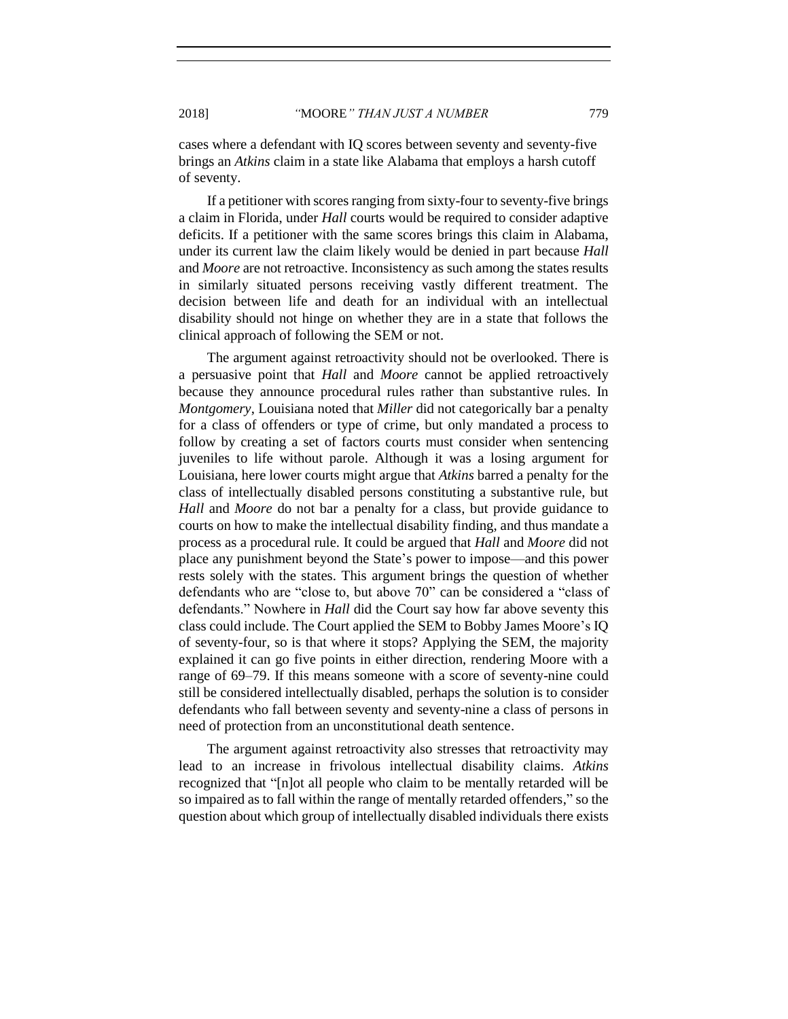cases where a defendant with IQ scores between seventy and seventy-five brings an *Atkins* claim in a state like Alabama that employs a harsh cutoff of seventy.

If a petitioner with scores ranging from sixty-four to seventy-five brings a claim in Florida, under *Hall* courts would be required to consider adaptive deficits. If a petitioner with the same scores brings this claim in Alabama, under its current law the claim likely would be denied in part because *Hall* and *Moore* are not retroactive. Inconsistency as such among the states results in similarly situated persons receiving vastly different treatment. The decision between life and death for an individual with an intellectual disability should not hinge on whether they are in a state that follows the clinical approach of following the SEM or not.

The argument against retroactivity should not be overlooked. There is a persuasive point that *Hall* and *Moore* cannot be applied retroactively because they announce procedural rules rather than substantive rules. In *Montgomery*, Louisiana noted that *Miller* did not categorically bar a penalty for a class of offenders or type of crime, but only mandated a process to follow by creating a set of factors courts must consider when sentencing juveniles to life without parole. Although it was a losing argument for Louisiana, here lower courts might argue that *Atkins* barred a penalty for the class of intellectually disabled persons constituting a substantive rule, but *Hall* and *Moore* do not bar a penalty for a class, but provide guidance to courts on how to make the intellectual disability finding, and thus mandate a process as a procedural rule. It could be argued that *Hall* and *Moore* did not place any punishment beyond the State's power to impose—and this power rests solely with the states. This argument brings the question of whether defendants who are "close to, but above 70" can be considered a "class of defendants." Nowhere in *Hall* did the Court say how far above seventy this class could include. The Court applied the SEM to Bobby James Moore's IQ of seventy-four, so is that where it stops? Applying the SEM, the majority explained it can go five points in either direction, rendering Moore with a range of 69–79. If this means someone with a score of seventy-nine could still be considered intellectually disabled, perhaps the solution is to consider defendants who fall between seventy and seventy-nine a class of persons in need of protection from an unconstitutional death sentence.

The argument against retroactivity also stresses that retroactivity may lead to an increase in frivolous intellectual disability claims. *Atkins* recognized that "[n]ot all people who claim to be mentally retarded will be so impaired as to fall within the range of mentally retarded offenders," so the question about which group of intellectually disabled individuals there exists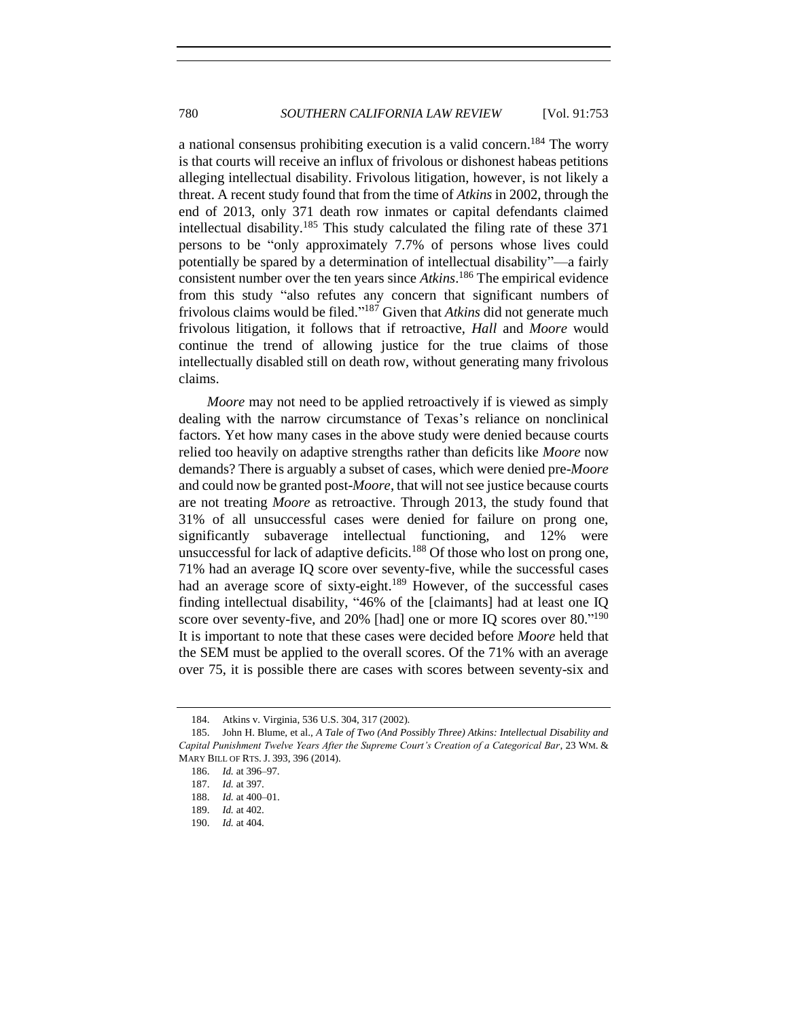a national consensus prohibiting execution is a valid concern. <sup>184</sup> The worry is that courts will receive an influx of frivolous or dishonest habeas petitions alleging intellectual disability. Frivolous litigation, however, is not likely a threat. A recent study found that from the time of *Atkins* in 2002, through the end of 2013, only 371 death row inmates or capital defendants claimed intellectual disability.<sup>185</sup> This study calculated the filing rate of these  $371$ persons to be "only approximately 7.7% of persons whose lives could potentially be spared by a determination of intellectual disability"—a fairly consistent number over the ten years since *Atkins*. <sup>186</sup> The empirical evidence from this study "also refutes any concern that significant numbers of frivolous claims would be filed." <sup>187</sup> Given that *Atkins* did not generate much frivolous litigation, it follows that if retroactive, *Hall* and *Moore* would continue the trend of allowing justice for the true claims of those intellectually disabled still on death row, without generating many frivolous claims.

*Moore* may not need to be applied retroactively if is viewed as simply dealing with the narrow circumstance of Texas's reliance on nonclinical factors. Yet how many cases in the above study were denied because courts relied too heavily on adaptive strengths rather than deficits like *Moore* now demands? There is arguably a subset of cases, which were denied pre-*Moore* and could now be granted post-*Moore*, that will not see justice because courts are not treating *Moore* as retroactive. Through 2013, the study found that 31% of all unsuccessful cases were denied for failure on prong one, significantly subaverage intellectual functioning, and 12% were unsuccessful for lack of adaptive deficits.<sup>188</sup> Of those who lost on prong one, 71% had an average IQ score over seventy-five, while the successful cases had an average score of sixty-eight.<sup>189</sup> However, of the successful cases finding intellectual disability, "46% of the [claimants] had at least one IQ score over seventy-five, and 20% [had] one or more IQ scores over  $80.^{190}$ It is important to note that these cases were decided before *Moore* held that the SEM must be applied to the overall scores. Of the 71% with an average over 75, it is possible there are cases with scores between seventy-six and

<sup>184.</sup> Atkins v. Virginia, 536 U.S. 304, 317 (2002).

<sup>185.</sup> John H. Blume, et al., *A Tale of Two (And Possibly Three) Atkins: Intellectual Disability and Capital Punishment Twelve Years After the Supreme Court's Creation of a Categorical Bar*, 23 WM. & MARY BILL OF RTS. J. 393, 396 (2014).

<sup>186.</sup> *Id.* at 396–97.

<sup>187.</sup> *Id.* at 397.

<sup>188.</sup> *Id.* at 400–01.

<sup>189.</sup> *Id.* at 402.

<sup>190.</sup> *Id.* at 404.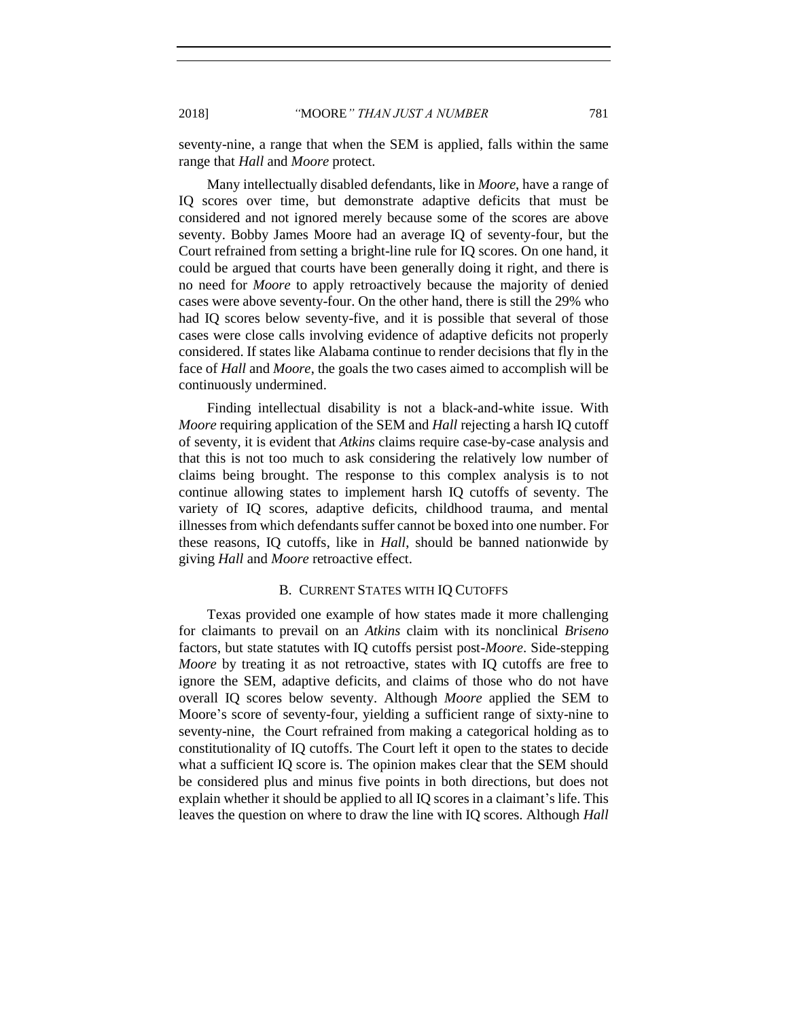seventy-nine, a range that when the SEM is applied, falls within the same range that *Hall* and *Moore* protect.

Many intellectually disabled defendants, like in *Moore*, have a range of IQ scores over time, but demonstrate adaptive deficits that must be considered and not ignored merely because some of the scores are above seventy. Bobby James Moore had an average IQ of seventy-four, but the Court refrained from setting a bright-line rule for IQ scores. On one hand, it could be argued that courts have been generally doing it right, and there is no need for *Moore* to apply retroactively because the majority of denied cases were above seventy-four. On the other hand, there is still the 29% who had IQ scores below seventy-five, and it is possible that several of those cases were close calls involving evidence of adaptive deficits not properly considered. If states like Alabama continue to render decisions that fly in the face of *Hall* and *Moore*, the goals the two cases aimed to accomplish will be continuously undermined.

Finding intellectual disability is not a black-and-white issue. With *Moore* requiring application of the SEM and *Hall* rejecting a harsh IQ cutoff of seventy, it is evident that *Atkins* claims require case-by-case analysis and that this is not too much to ask considering the relatively low number of claims being brought. The response to this complex analysis is to not continue allowing states to implement harsh IQ cutoffs of seventy. The variety of IQ scores, adaptive deficits, childhood trauma, and mental illnessesfrom which defendants suffer cannot be boxed into one number. For these reasons, IQ cutoffs, like in *Hall*, should be banned nationwide by giving *Hall* and *Moore* retroactive effect.

#### B. CURRENT STATES WITH IQ CUTOFFS

<span id="page-28-0"></span>Texas provided one example of how states made it more challenging for claimants to prevail on an *Atkins* claim with its nonclinical *Briseno* factors, but state statutes with IQ cutoffs persist post-*Moore*. Side-stepping *Moore* by treating it as not retroactive, states with IQ cutoffs are free to ignore the SEM, adaptive deficits, and claims of those who do not have overall IQ scores below seventy. Although *Moore* applied the SEM to Moore's score of seventy-four, yielding a sufficient range of sixty-nine to seventy-nine, the Court refrained from making a categorical holding as to constitutionality of IQ cutoffs. The Court left it open to the states to decide what a sufficient IQ score is. The opinion makes clear that the SEM should be considered plus and minus five points in both directions, but does not explain whether it should be applied to all IQ scores in a claimant's life. This leaves the question on where to draw the line with IQ scores. Although *Hall*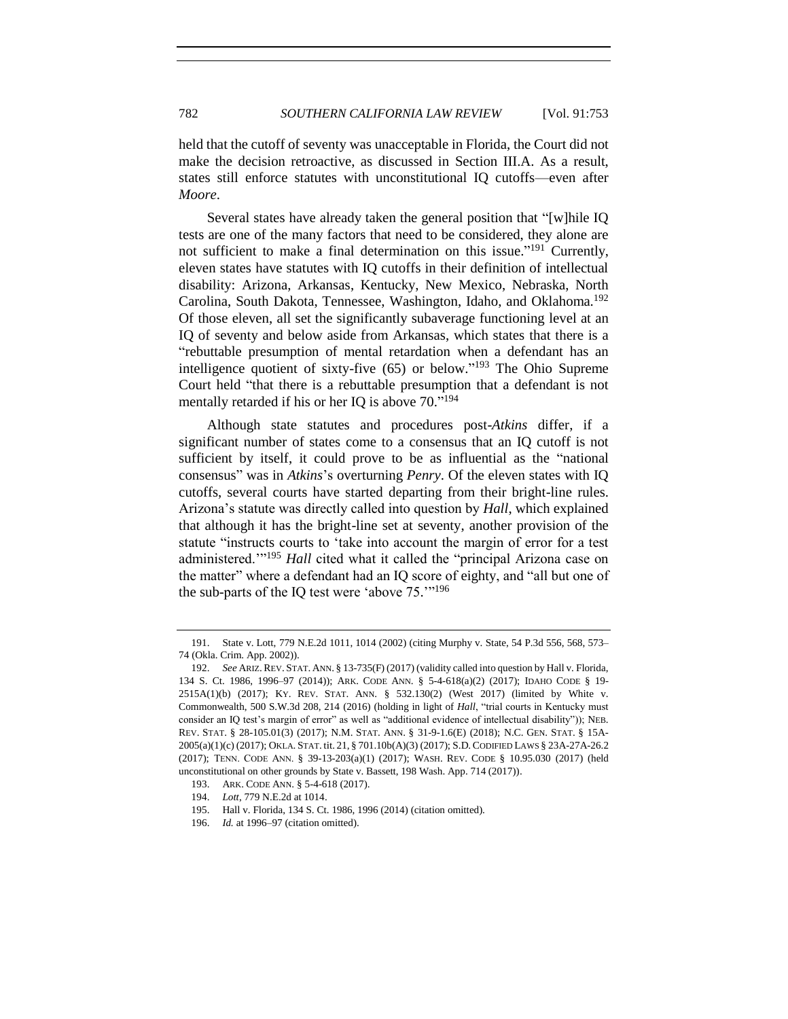held that the cutoff of seventy was unacceptable in Florida, the Court did not make the decision retroactive, as discussed in Section III.A. As a result, states still enforce statutes with unconstitutional IQ cutoffs—even after *Moore*.

Several states have already taken the general position that "[w]hile IQ tests are one of the many factors that need to be considered, they alone are not sufficient to make a final determination on this issue."<sup>191</sup> Currently, eleven states have statutes with IQ cutoffs in their definition of intellectual disability: Arizona, Arkansas, Kentucky, New Mexico, Nebraska, North Carolina, South Dakota, Tennessee, Washington, Idaho, and Oklahoma.<sup>192</sup> Of those eleven, all set the significantly subaverage functioning level at an IQ of seventy and below aside from Arkansas, which states that there is a "rebuttable presumption of mental retardation when a defendant has an intelligence quotient of sixty-five  $(65)$  or below."<sup>193</sup> The Ohio Supreme Court held "that there is a rebuttable presumption that a defendant is not mentally retarded if his or her IQ is above 70."<sup>194</sup>

Although state statutes and procedures post-*Atkins* differ, if a significant number of states come to a consensus that an IQ cutoff is not sufficient by itself, it could prove to be as influential as the "national consensus" was in *Atkins*'s overturning *Penry*. Of the eleven states with IQ cutoffs, several courts have started departing from their bright-line rules. Arizona's statute was directly called into question by *Hall*, which explained that although it has the bright-line set at seventy, another provision of the statute "instructs courts to 'take into account the margin of error for a test administered.'"<sup>195</sup> *Hall* cited what it called the "principal Arizona case on the matter" where a defendant had an IQ score of eighty, and "all but one of the sub-parts of the IQ test were 'above 75."<sup>196</sup>

<sup>191.</sup> State v. Lott, 779 N.E.2d 1011, 1014 (2002) (citing Murphy v. State, 54 P.3d 556, 568, 573– 74 (Okla. Crim. App. 2002)).

<sup>192.</sup> *See* ARIZ. REV. STAT. ANN. § 13-735(F) (2017) (validity called into question by Hall v. Florida, 134 S. Ct. 1986, 1996–97 (2014)); ARK. CODE ANN. § 5-4-618(a)(2) (2017); IDAHO CODE § 19- 2515A(1)(b) (2017); KY. REV. STAT. ANN. § 532.130(2) (West 2017) (limited by White v. Commonwealth, 500 S.W.3d 208, 214 (2016) (holding in light of *Hall*, "trial courts in Kentucky must consider an IQ test's margin of error" as well as "additional evidence of intellectual disability")); NEB. REV. STAT. § 28-105.01(3) (2017); N.M. STAT. ANN. § 31-9-1.6(E) (2018); N.C. GEN. STAT. § 15A-2005(a)(1)(c) (2017); OKLA. STAT. tit. 21, § 701.10b(A)(3) (2017); S.D. CODIFIED LAWS § 23A-27A-26.2 (2017); TENN. CODE ANN. § 39-13-203(a)(1) (2017); WASH. REV. CODE § 10.95.030 (2017) (held unconstitutional on other grounds by State v. Bassett, 198 Wash. App. 714 (2017)).

<sup>193.</sup> ARK. CODE ANN. § 5-4-618 (2017).

<sup>194.</sup> *Lott*, 779 N.E.2d at 1014.

<sup>195.</sup> Hall v. Florida, 134 S. Ct. 1986, 1996 (2014) (citation omitted).

<sup>196.</sup> *Id.* at 1996–97 (citation omitted).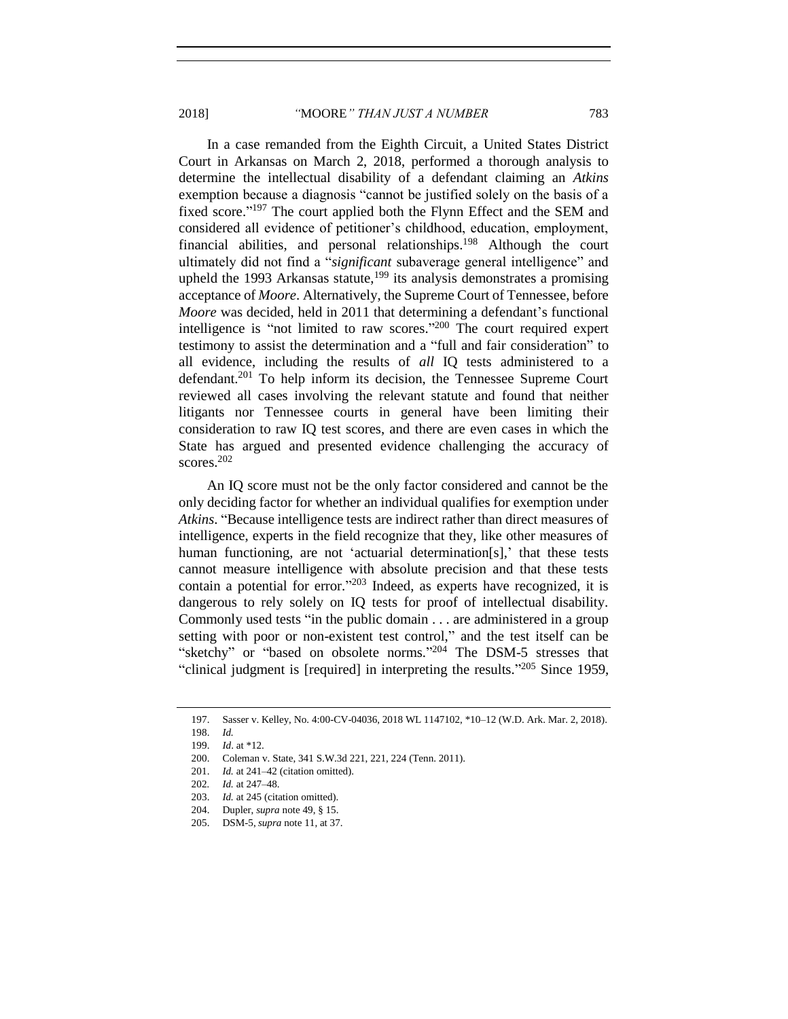2018] *"*MOORE*" THAN JUST A NUMBER* 783

In a case remanded from the Eighth Circuit, a United States District Court in Arkansas on March 2, 2018, performed a thorough analysis to determine the intellectual disability of a defendant claiming an *Atkins* exemption because a diagnosis "cannot be justified solely on the basis of a fixed score."<sup>197</sup> The court applied both the Flynn Effect and the SEM and considered all evidence of petitioner's childhood, education, employment, financial abilities, and personal relationships.<sup>198</sup> Although the court ultimately did not find a "*significant* subaverage general intelligence" and upheld the 1993 Arkansas statute,<sup>199</sup> its analysis demonstrates a promising acceptance of *Moore*. Alternatively, the Supreme Court of Tennessee, before *Moore* was decided, held in 2011 that determining a defendant's functional intelligence is "not limited to raw scores."<sup>200</sup> The court required expert testimony to assist the determination and a "full and fair consideration" to all evidence, including the results of *all* IQ tests administered to a defendant.<sup>201</sup> To help inform its decision, the Tennessee Supreme Court reviewed all cases involving the relevant statute and found that neither litigants nor Tennessee courts in general have been limiting their consideration to raw IQ test scores, and there are even cases in which the State has argued and presented evidence challenging the accuracy of scores. 202

An IQ score must not be the only factor considered and cannot be the only deciding factor for whether an individual qualifies for exemption under *Atkins*. "Because intelligence tests are indirect rather than direct measures of intelligence, experts in the field recognize that they, like other measures of human functioning, are not 'actuarial determination[s],' that these tests cannot measure intelligence with absolute precision and that these tests contain a potential for error." <sup>203</sup> Indeed, as experts have recognized, it is dangerous to rely solely on IQ tests for proof of intellectual disability. Commonly used tests "in the public domain . . . are administered in a group setting with poor or non-existent test control," and the test itself can be "sketchy" or "based on obsolete norms."<sup>204</sup> The DSM-5 stresses that "clinical judgment is [required] in interpreting the results." <sup>205</sup> Since 1959,

<sup>197.</sup> Sasser v. Kelley, No. 4:00-CV-04036, 2018 WL 1147102, \*10–12 (W.D. Ark. Mar. 2, 2018).

<sup>198.</sup> *Id.*

<sup>199.</sup> *Id*. at \*12.

<sup>200.</sup> Coleman v. State, 341 S.W.3d 221, 221, 224 (Tenn. 2011).

<sup>201.</sup> *Id.* at 241–42 (citation omitted).

<sup>202</sup>*. Id.* at 247–48.

<sup>203.</sup> *Id.* at 245 (citation omitted).

<sup>204.</sup> Dupler, *supra* not[e 49,](#page-7-2) § 15.

<sup>205.</sup> DSM-5, *supra* not[e 11,](#page-2-0) at 37.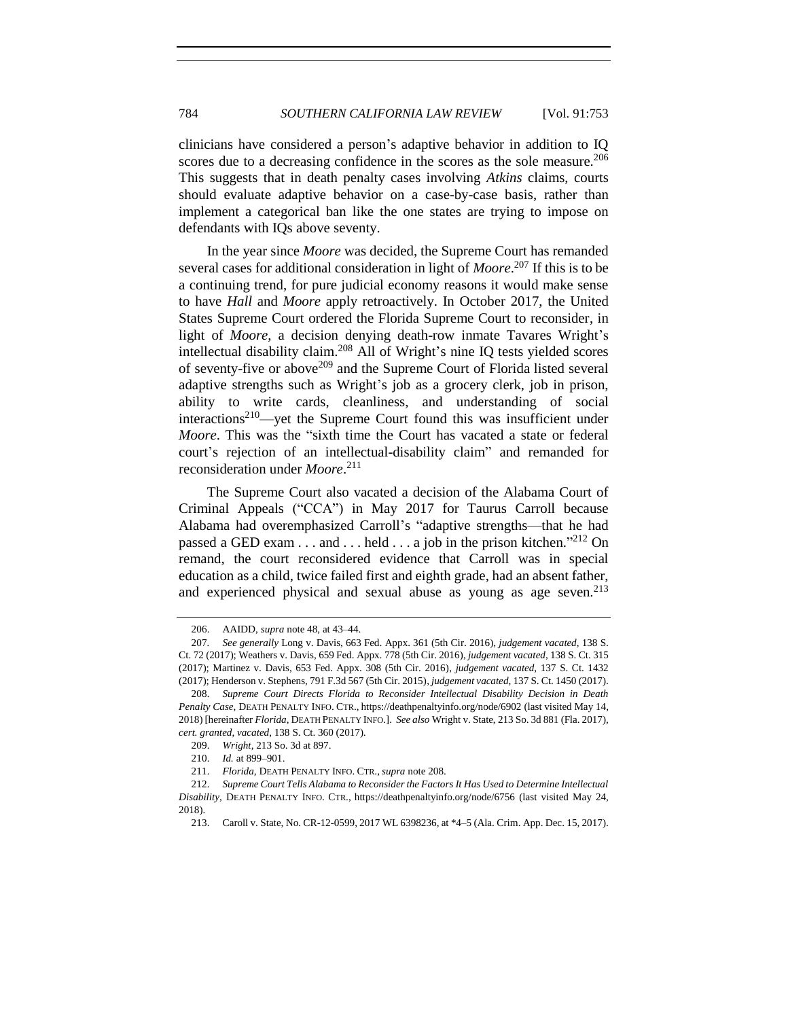clinicians have considered a person's adaptive behavior in addition to IQ scores due to a decreasing confidence in the scores as the sole measure.<sup>206</sup> This suggests that in death penalty cases involving *Atkins* claims, courts should evaluate adaptive behavior on a case-by-case basis, rather than implement a categorical ban like the one states are trying to impose on defendants with IQs above seventy.

<span id="page-31-0"></span>In the year since *Moore* was decided, the Supreme Court has remanded several cases for additional consideration in light of *Moore*. <sup>207</sup> If this is to be a continuing trend, for pure judicial economy reasons it would make sense to have *Hall* and *Moore* apply retroactively. In October 2017, the United States Supreme Court ordered the Florida Supreme Court to reconsider, in light of *Moore*, a decision denying death-row inmate Tavares Wright's intellectual disability claim. <sup>208</sup> All of Wright's nine IQ tests yielded scores of seventy-five or above<sup>209</sup> and the Supreme Court of Florida listed several adaptive strengths such as Wright's job as a grocery clerk, job in prison, ability to write cards, cleanliness, and understanding of social  $interactions<sup>210</sup>$  —yet the Supreme Court found this was insufficient under *Moore*. This was the "sixth time the Court has vacated a state or federal court's rejection of an intellectual-disability claim" and remanded for reconsideration under *Moore*. 211

The Supreme Court also vacated a decision of the Alabama Court of Criminal Appeals ("CCA") in May 2017 for Taurus Carroll because Alabama had overemphasized Carroll's "adaptive strengths—that he had passed a GED exam . . . and . . . held . . . a job in the prison kitchen."<sup>212</sup> On remand, the court reconsidered evidence that Carroll was in special education as a child, twice failed first and eighth grade, had an absent father, and experienced physical and sexual abuse as young as age seven.<sup>213</sup>

<sup>206.</sup> AAIDD, *supra* note [48,](#page-7-3) at 43–44.

<sup>207</sup>*. See generally* Long v. Davis, 663 Fed. Appx. 361 (5th Cir. 2016), *judgement vacated*, 138 S. Ct. 72 (2017); Weathers v. Davis, 659 Fed. Appx. 778 (5th Cir. 2016), *judgement vacated*, 138 S. Ct. 315 (2017); Martinez v. Davis, 653 Fed. Appx. 308 (5th Cir. 2016), *judgement vacated*, 137 S. Ct. 1432 (2017); Henderson v. Stephens, 791 F.3d 567 (5th Cir. 2015), *judgement vacated*, 137 S. Ct. 1450 (2017).

<sup>208.</sup> *Supreme Court Directs Florida to Reconsider Intellectual Disability Decision in Death Penalty Case*, DEATH PENALTY INFO. CTR., https://deathpenaltyinfo.org/node/6902 (last visited May 14, 2018) [hereinafter *Florida,* DEATH PENALTY INFO.]. *See also* Wright v. State, 213 So. 3d 881 (Fla. 2017), *cert. granted*, *vacated*, 138 S. Ct. 360 (2017).

<sup>209.</sup> *Wright*, 213 So. 3d at 897.

<sup>210.</sup> *Id.* at 899–901.

<sup>211.</sup> *Florida*, DEATH PENALTY INFO. CTR., *supra* note [208.](#page-31-0) 

<sup>212.</sup> *Supreme Court Tells Alabama to Reconsider the Factors It Has Used to Determine Intellectual Disability*, DEATH PENALTY INFO. CTR., https://deathpenaltyinfo.org/node/6756 (last visited May 24, 2018).

<sup>213.</sup> Caroll v. State, No. CR-12-0599, 2017 WL 6398236, at \*4–5 (Ala. Crim. App. Dec. 15, 2017).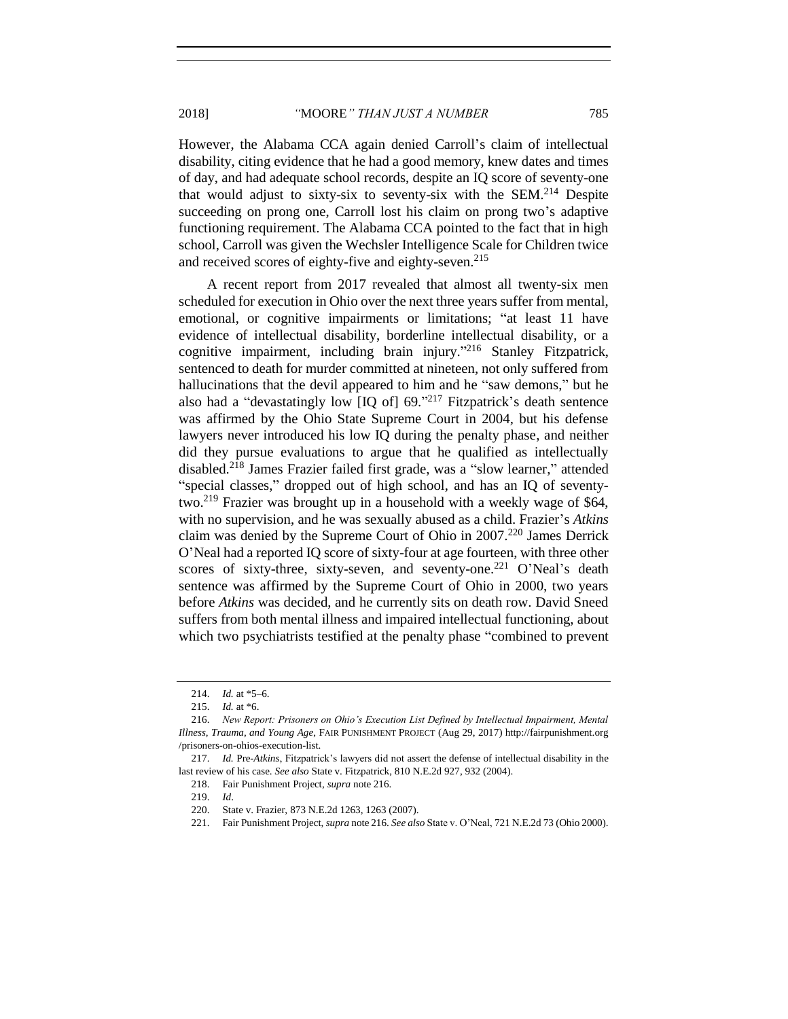However, the Alabama CCA again denied Carroll's claim of intellectual disability, citing evidence that he had a good memory, knew dates and times of day, and had adequate school records, despite an IQ score of seventy-one that would adjust to sixty-six to seventy-six with the SEM.<sup>214</sup> Despite succeeding on prong one, Carroll lost his claim on prong two's adaptive functioning requirement. The Alabama CCA pointed to the fact that in high school, Carroll was given the Wechsler Intelligence Scale for Children twice and received scores of eighty-five and eighty-seven. 215

<span id="page-32-0"></span>A recent report from 2017 revealed that almost all twenty-six men scheduled for execution in Ohio over the next three years suffer from mental, emotional, or cognitive impairments or limitations; "at least 11 have evidence of intellectual disability, borderline intellectual disability, or a cognitive impairment, including brain injury." <sup>216</sup> Stanley Fitzpatrick, sentenced to death for murder committed at nineteen, not only suffered from hallucinations that the devil appeared to him and he "saw demons," but he also had a "devastatingly low  $[IQ\ of]$  69."<sup>217</sup> Fitzpatrick's death sentence was affirmed by the Ohio State Supreme Court in 2004, but his defense lawyers never introduced his low IQ during the penalty phase, and neither did they pursue evaluations to argue that he qualified as intellectually disabled.<sup>218</sup> James Frazier failed first grade, was a "slow learner," attended "special classes," dropped out of high school, and has an IQ of seventytwo.<sup>219</sup> Frazier was brought up in a household with a weekly wage of \$64, with no supervision, and he was sexually abused as a child. Frazier's *Atkins* claim was denied by the Supreme Court of Ohio in 2007.<sup>220</sup> James Derrick O'Neal had a reported IQ score of sixty-four at age fourteen, with three other scores of sixty-three, sixty-seven, and seventy-one.<sup>221</sup> O'Neal's death sentence was affirmed by the Supreme Court of Ohio in 2000, two years before *Atkins* was decided, and he currently sits on death row. David Sneed suffers from both mental illness and impaired intellectual functioning, about which two psychiatrists testified at the penalty phase "combined to prevent

<sup>214.</sup> *Id.* at \*5–6.

<sup>215.</sup> *Id.* at \*6.

<sup>216.</sup> *New Report: Prisoners on Ohio's Execution List Defined by Intellectual Impairment, Mental Illness, Trauma, and Young Age*, FAIR PUNISHMENT PROJECT (Aug 29, 2017) http://fairpunishment.org /prisoners-on-ohios-execution-list.

<sup>217.</sup> *Id.* Pre-*Atkins*, Fitzpatrick's lawyers did not assert the defense of intellectual disability in the last review of his case. *See also* State v. Fitzpatrick, 810 N.E.2d 927, 932 (2004).

<sup>218.</sup> Fair Punishment Project, *supra* not[e 216.](#page-32-0)

<sup>219.</sup> *Id*.

<sup>220.</sup> State v. Frazier, 873 N.E.2d 1263, 1263 (2007).

<sup>221.</sup> Fair Punishment Project, *supra* not[e 216.](#page-32-0) *See also* State v. O'Neal, 721 N.E.2d 73 (Ohio 2000).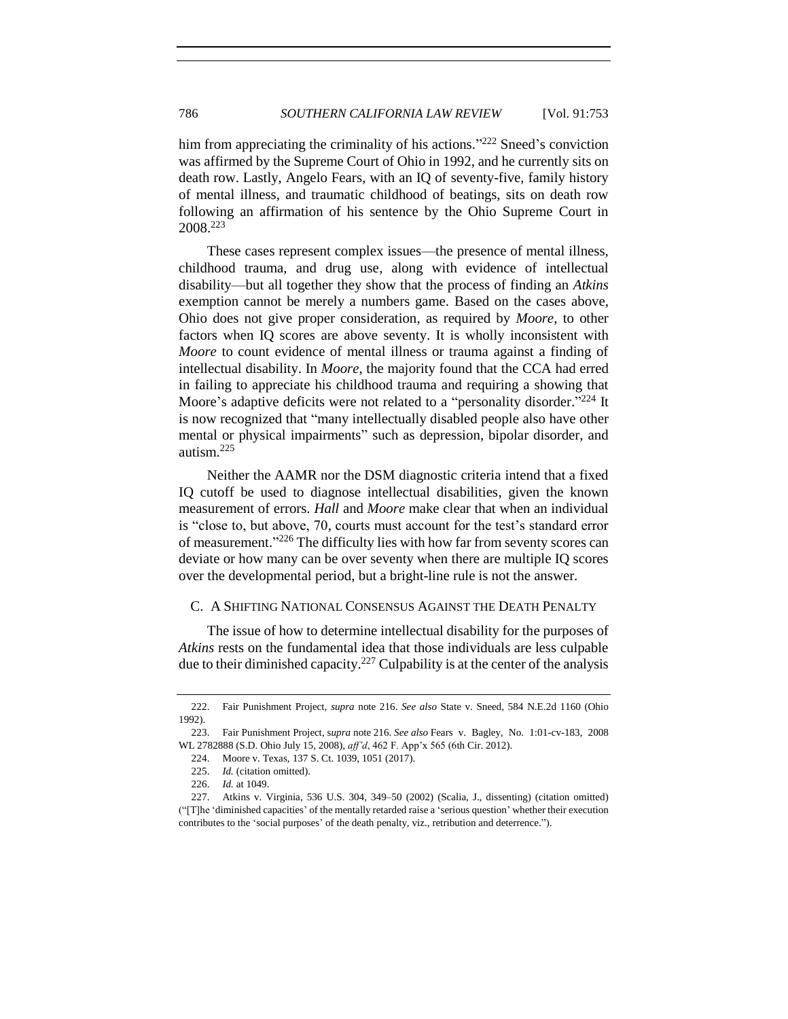him from appreciating the criminality of his actions."<sup>222</sup> Sneed's conviction was affirmed by the Supreme Court of Ohio in 1992, and he currently sits on death row. Lastly, Angelo Fears, with an IQ of seventy-five, family history of mental illness, and traumatic childhood of beatings, sits on death row following an affirmation of his sentence by the Ohio Supreme Court in 2008.<sup>223</sup>

These cases represent complex issues—the presence of mental illness, childhood trauma, and drug use, along with evidence of intellectual disability—but all together they show that the process of finding an *Atkins* exemption cannot be merely a numbers game. Based on the cases above, Ohio does not give proper consideration, as required by *Moore*, to other factors when IQ scores are above seventy. It is wholly inconsistent with *Moore* to count evidence of mental illness or trauma against a finding of intellectual disability. In *Moore*, the majority found that the CCA had erred in failing to appreciate his childhood trauma and requiring a showing that Moore's adaptive deficits were not related to a "personality disorder."<sup>224</sup> It is now recognized that "many intellectually disabled people also have other mental or physical impairments" such as depression, bipolar disorder, and autism.<sup>225</sup>

Neither the AAMR nor the DSM diagnostic criteria intend that a fixed IQ cutoff be used to diagnose intellectual disabilities, given the known measurement of errors. *Hall* and *Moore* make clear that when an individual is "close to, but above, 70, courts must account for the test's standard error of measurement."<sup>226</sup> The difficulty lies with how far from seventy scores can deviate or how many can be over seventy when there are multiple IQ scores over the developmental period, but a bright-line rule is not the answer.

# <span id="page-33-0"></span>C. A SHIFTING NATIONAL CONSENSUS AGAINST THE DEATH PENALTY

The issue of how to determine intellectual disability for the purposes of *Atkins* rests on the fundamental idea that those individuals are less culpable due to their diminished capacity.<sup>227</sup> Culpability is at the center of the analysis

<sup>222.</sup> Fair Punishment Project, *supra* note [216.](#page-32-0) *See also* State v. Sneed, 584 N.E.2d 1160 (Ohio 1992).

<sup>223.</sup> Fair Punishment Project, s*upra* not[e 216.](#page-32-0) *See also* Fears v. Bagley, No. 1:01-cv-183, 2008 WL 2782888 (S.D. Ohio July 15, 2008), *aff'd*, 462 F. App'x 565 (6th Cir. 2012).

<sup>224.</sup> Moore v. Texas, 137 S. Ct. 1039, 1051 (2017).

<sup>225.</sup> *Id.* (citation omitted).

<sup>226.</sup> *Id.* at 1049.

<sup>227.</sup> Atkins v. Virginia, 536 U.S. 304, 349–50 (2002) (Scalia, J., dissenting) (citation omitted) ("[T]he 'diminished capacities' of the mentally retarded raise a 'serious question' whether their execution contributes to the 'social purposes' of the death penalty, viz., retribution and deterrence.").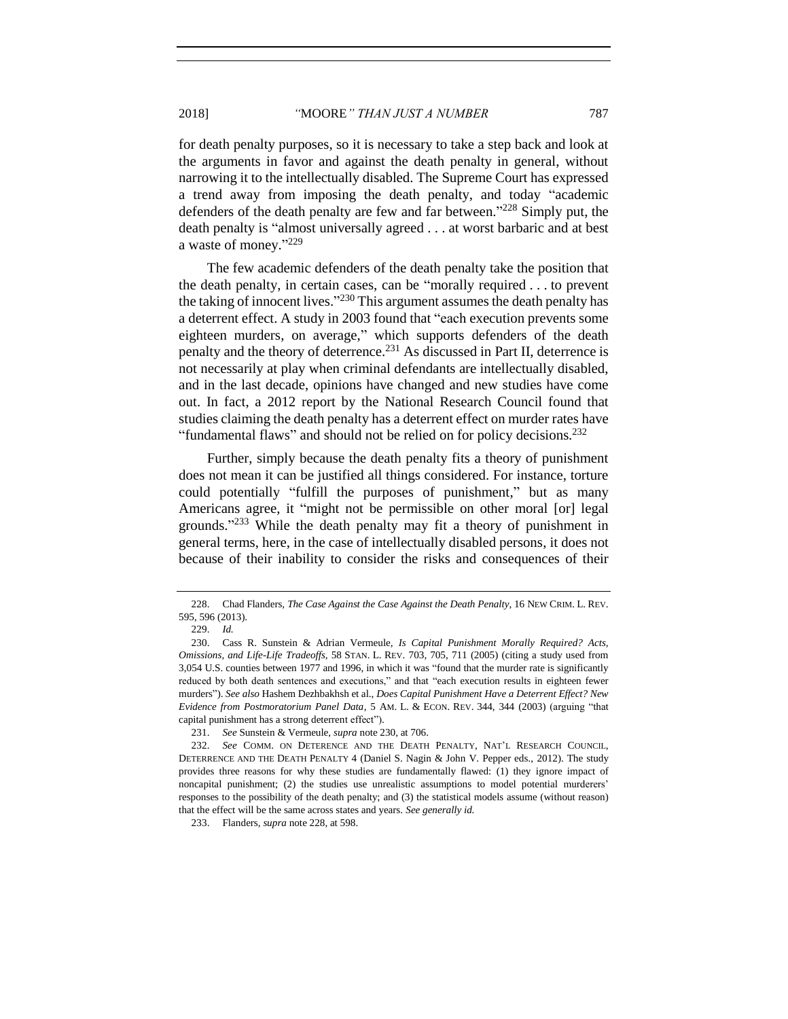for death penalty purposes, so it is necessary to take a step back and look at the arguments in favor and against the death penalty in general, without narrowing it to the intellectually disabled. The Supreme Court has expressed a trend away from imposing the death penalty, and today "academic defenders of the death penalty are few and far between." <sup>228</sup> Simply put, the death penalty is "almost universally agreed . . . at worst barbaric and at best a waste of money."229

<span id="page-34-1"></span><span id="page-34-0"></span>The few academic defenders of the death penalty take the position that the death penalty, in certain cases, can be "morally required . . . to prevent the taking of innocent lives."<sup>230</sup> This argument assumes the death penalty has a deterrent effect. A study in 2003 found that "each execution prevents some eighteen murders, on average," which supports defenders of the death penalty and the theory of deterrence.<sup>231</sup> As discussed in Part II, deterrence is not necessarily at play when criminal defendants are intellectually disabled, and in the last decade, opinions have changed and new studies have come out. In fact, a 2012 report by the National Research Council found that studies claiming the death penalty has a deterrent effect on murder rates have "fundamental flaws" and should not be relied on for policy decisions.<sup>232</sup>

Further, simply because the death penalty fits a theory of punishment does not mean it can be justified all things considered. For instance, torture could potentially "fulfill the purposes of punishment," but as many Americans agree, it "might not be permissible on other moral [or] legal grounds."<sup>233</sup> While the death penalty may fit a theory of punishment in general terms, here, in the case of intellectually disabled persons, it does not because of their inability to consider the risks and consequences of their

<sup>228.</sup> Chad Flanders, *The Case Against the Case Against the Death Penalty*, 16 NEW CRIM. L. REV. 595, 596 (2013).

<sup>229.</sup> *Id.*

<sup>230.</sup> Cass R. Sunstein & Adrian Vermeule, *Is Capital Punishment Morally Required? Acts, Omissions, and Life-Life Tradeoffs*, 58 STAN. L. REV. 703, 705, 711 (2005) (citing a study used from 3,054 U.S. counties between 1977 and 1996, in which it was "found that the murder rate is significantly reduced by both death sentences and executions," and that "each execution results in eighteen fewer murders"). *See also* Hashem Dezhbakhsh et al., *Does Capital Punishment Have a Deterrent Effect? New Evidence from Postmoratorium Panel Data*, 5 AM. L. & ECON. REV. 344, 344 (2003) (arguing "that capital punishment has a strong deterrent effect").

<sup>231.</sup> *See* Sunstein & Vermeule, *supra* not[e 230,](#page-34-0) at 706.

<sup>232.</sup> *See* COMM. ON DETERENCE AND THE DEATH PENALTY, NAT'L RESEARCH COUNCIL, DETERRENCE AND THE DEATH PENALTY 4 (Daniel S. Nagin & John V. Pepper eds., 2012). The study provides three reasons for why these studies are fundamentally flawed: (1) they ignore impact of noncapital punishment; (2) the studies use unrealistic assumptions to model potential murderers' responses to the possibility of the death penalty; and (3) the statistical models assume (without reason) that the effect will be the same across states and years. *See generally id.*

<sup>233.</sup> Flanders, *supra* not[e 228,](#page-34-1) at 598.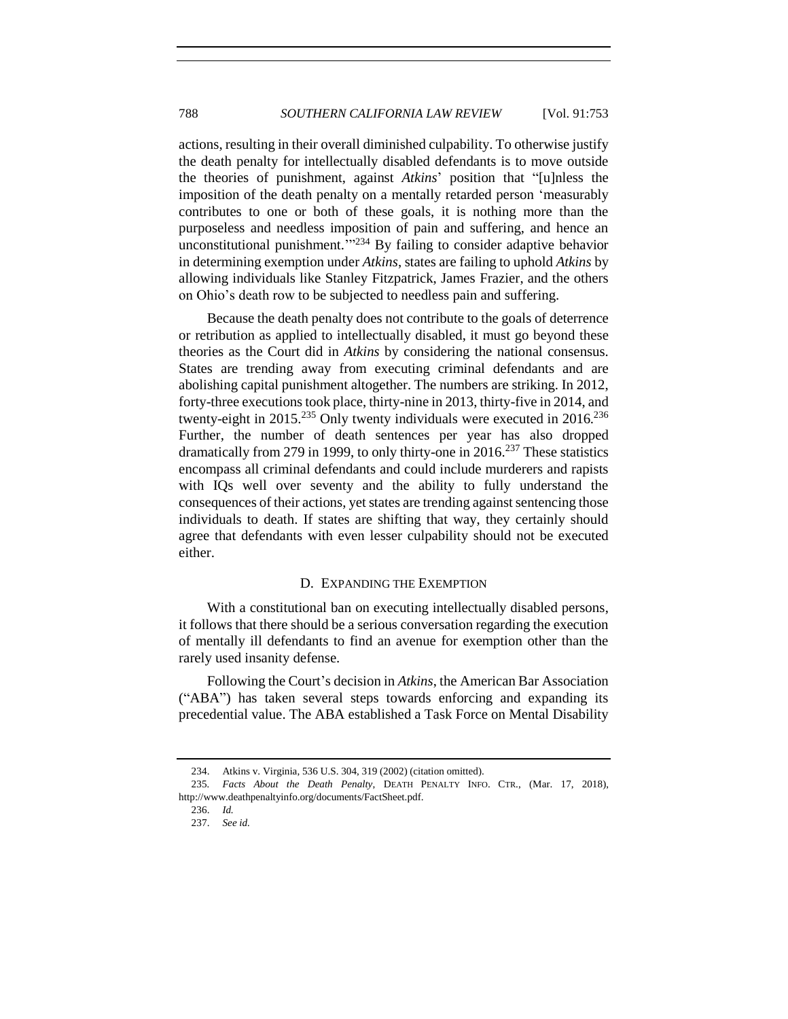actions, resulting in their overall diminished culpability. To otherwise justify the death penalty for intellectually disabled defendants is to move outside the theories of punishment, against *Atkins*' position that "[u]nless the imposition of the death penalty on a mentally retarded person 'measurably contributes to one or both of these goals, it is nothing more than the purposeless and needless imposition of pain and suffering, and hence an unconstitutional punishment.<sup>'"234</sup> By failing to consider adaptive behavior in determining exemption under *Atkins*, states are failing to uphold *Atkins* by allowing individuals like Stanley Fitzpatrick, James Frazier, and the others on Ohio's death row to be subjected to needless pain and suffering.

Because the death penalty does not contribute to the goals of deterrence or retribution as applied to intellectually disabled, it must go beyond these theories as the Court did in *Atkins* by considering the national consensus. States are trending away from executing criminal defendants and are abolishing capital punishment altogether. The numbers are striking. In 2012, forty-three executions took place, thirty-nine in 2013, thirty-five in 2014, and twenty-eight in 2015.<sup>235</sup> Only twenty individuals were executed in 2016.<sup>236</sup> Further, the number of death sentences per year has also dropped dramatically from 279 in 1999, to only thirty-one in 2016.<sup>237</sup> These statistics encompass all criminal defendants and could include murderers and rapists with IQs well over seventy and the ability to fully understand the consequences of their actions, yet states are trending against sentencing those individuals to death. If states are shifting that way, they certainly should agree that defendants with even lesser culpability should not be executed either.

#### D. EXPANDING THE EXEMPTION

<span id="page-35-0"></span>With a constitutional ban on executing intellectually disabled persons, it follows that there should be a serious conversation regarding the execution of mentally ill defendants to find an avenue for exemption other than the rarely used insanity defense.

Following the Court's decision in *Atkins*, the American Bar Association ("ABA") has taken several steps towards enforcing and expanding its precedential value. The ABA established a Task Force on Mental Disability

<sup>234.</sup> Atkins v. Virginia, 536 U.S. 304, 319 (2002) (citation omitted).

<sup>235</sup>*. Facts About the Death Penalty*, DEATH PENALTY INFO. CTR., (Mar. 17, 2018), http://www.deathpenaltyinfo.org/documents/FactSheet.pdf.

<sup>236.</sup> *Id.*

<sup>237.</sup> *See id.*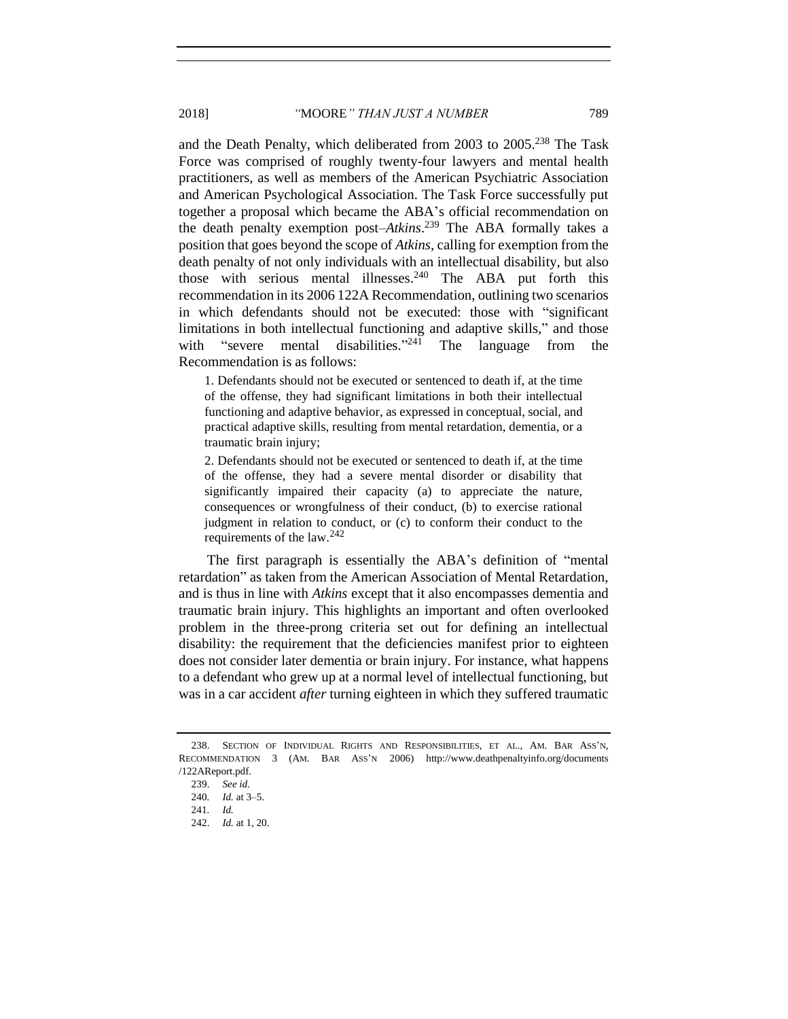and the Death Penalty, which deliberated from 2003 to 2005.<sup>238</sup> The Task Force was comprised of roughly twenty-four lawyers and mental health practitioners, as well as members of the American Psychiatric Association and American Psychological Association. The Task Force successfully put together a proposal which became the ABA's official recommendation on the death penalty exemption post–*Atkins*. <sup>239</sup> The ABA formally takes a position that goes beyond the scope of *Atkins*, calling for exemption from the death penalty of not only individuals with an intellectual disability, but also those with serious mental illnesses.<sup>240</sup> The ABA put forth this recommendation in its 2006 122A Recommendation, outlining two scenarios in which defendants should not be executed: those with "significant limitations in both intellectual functioning and adaptive skills," and those with "severe mental disabilities."<sup>241</sup> The language from the Recommendation is as follows:

1. Defendants should not be executed or sentenced to death if, at the time of the offense, they had significant limitations in both their intellectual functioning and adaptive behavior, as expressed in conceptual, social, and practical adaptive skills, resulting from mental retardation, dementia, or a traumatic brain injury;

2. Defendants should not be executed or sentenced to death if, at the time of the offense, they had a severe mental disorder or disability that significantly impaired their capacity (a) to appreciate the nature, consequences or wrongfulness of their conduct, (b) to exercise rational judgment in relation to conduct, or (c) to conform their conduct to the requirements of the law.<sup>242</sup>

The first paragraph is essentially the ABA's definition of "mental retardation" as taken from the American Association of Mental Retardation, and is thus in line with *Atkins* except that it also encompasses dementia and traumatic brain injury. This highlights an important and often overlooked problem in the three-prong criteria set out for defining an intellectual disability: the requirement that the deficiencies manifest prior to eighteen does not consider later dementia or brain injury. For instance, what happens to a defendant who grew up at a normal level of intellectual functioning, but was in a car accident *after* turning eighteen in which they suffered traumatic

<sup>238.</sup> SECTION OF INDIVIDUAL RIGHTS AND RESPONSIBILITIES, ET AL., AM. BAR ASS'N, RECOMMENDATION 3 (AM. BAR ASS'N 2006) http://www.deathpenaltyinfo.org/documents /122AReport.pdf.

<sup>239.</sup> *See id.*

<sup>240</sup>*. Id.* at 3–5.

<sup>241</sup>*. Id.*

<sup>242.</sup> *Id.* at 1, 20.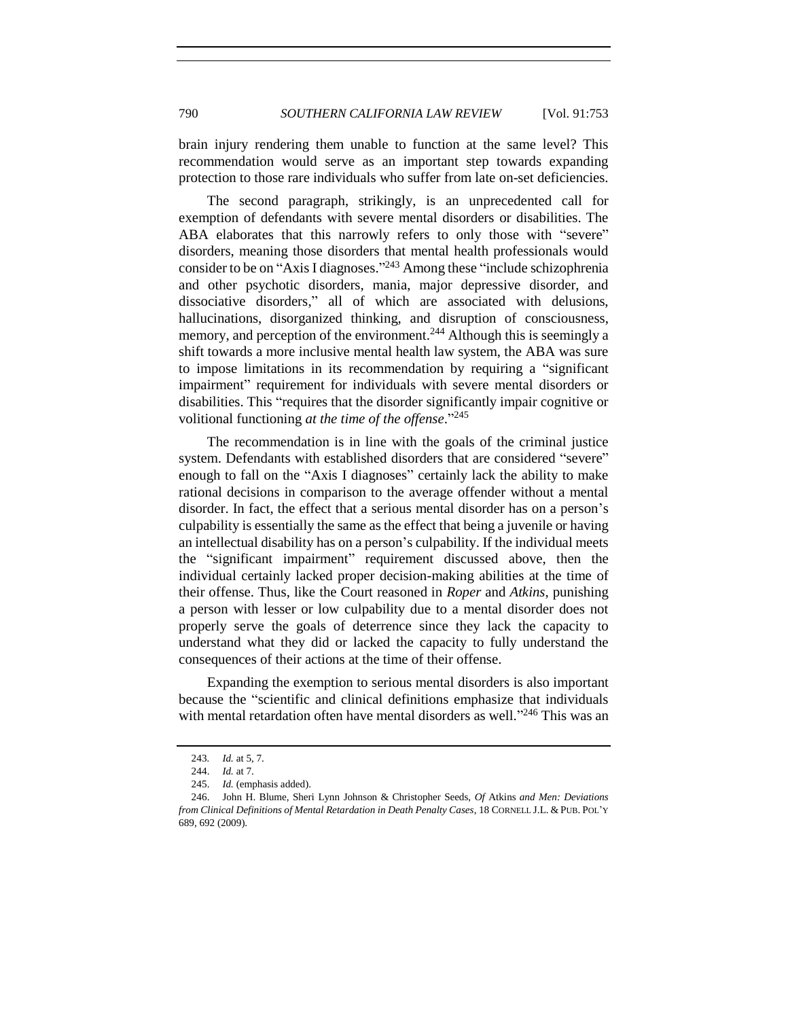brain injury rendering them unable to function at the same level? This recommendation would serve as an important step towards expanding protection to those rare individuals who suffer from late on-set deficiencies.

The second paragraph, strikingly, is an unprecedented call for exemption of defendants with severe mental disorders or disabilities. The ABA elaborates that this narrowly refers to only those with "severe" disorders, meaning those disorders that mental health professionals would consider to be on "Axis I diagnoses." <sup>243</sup> Among these "include schizophrenia and other psychotic disorders, mania, major depressive disorder, and dissociative disorders," all of which are associated with delusions, hallucinations, disorganized thinking, and disruption of consciousness, memory, and perception of the environment.<sup>244</sup> Although this is seemingly a shift towards a more inclusive mental health law system, the ABA was sure to impose limitations in its recommendation by requiring a "significant impairment" requirement for individuals with severe mental disorders or disabilities. This "requires that the disorder significantly impair cognitive or volitional functioning *at the time of the offense*." 245

The recommendation is in line with the goals of the criminal justice system. Defendants with established disorders that are considered "severe" enough to fall on the "Axis I diagnoses" certainly lack the ability to make rational decisions in comparison to the average offender without a mental disorder. In fact, the effect that a serious mental disorder has on a person's culpability is essentially the same as the effect that being a juvenile or having an intellectual disability has on a person's culpability. If the individual meets the "significant impairment" requirement discussed above, then the individual certainly lacked proper decision-making abilities at the time of their offense. Thus, like the Court reasoned in *Roper* and *Atkins*, punishing a person with lesser or low culpability due to a mental disorder does not properly serve the goals of deterrence since they lack the capacity to understand what they did or lacked the capacity to fully understand the consequences of their actions at the time of their offense.

Expanding the exemption to serious mental disorders is also important because the "scientific and clinical definitions emphasize that individuals with mental retardation often have mental disorders as well."<sup>246</sup> This was an

<sup>243</sup>*. Id.* at 5, 7.

<sup>244.</sup> *Id.* at 7.

<sup>245.</sup> *Id.* (emphasis added).

<sup>246.</sup> John H. Blume, Sheri Lynn Johnson & Christopher Seeds, *Of* Atkins *and Men: Deviations from Clinical Definitions of Mental Retardation in Death Penalty Cases*, 18 CORNELL J.L. & PUB. POL'Y 689, 692 (2009).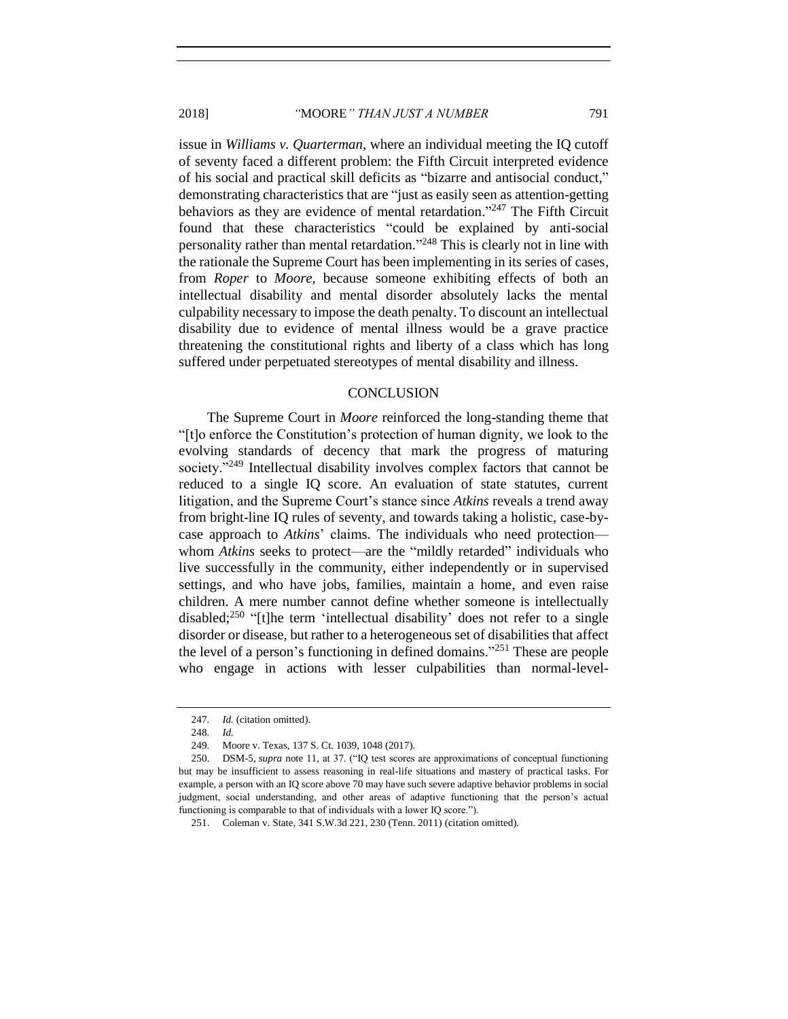issue in *Williams v. Quarterman*, where an individual meeting the IQ cutoff of seventy faced a different problem: the Fifth Circuit interpreted evidence of his social and practical skill deficits as "bizarre and antisocial conduct," demonstrating characteristics that are "just as easily seen as attention-getting behaviors as they are evidence of mental retardation."<sup>247</sup> The Fifth Circuit found that these characteristics "could be explained by anti-social personality rather than mental retardation."<sup>248</sup> This is clearly not in line with the rationale the Supreme Court has been implementing in its series of cases, from *Roper* to *Moore*, because someone exhibiting effects of both an intellectual disability and mental disorder absolutely lacks the mental culpability necessary to impose the death penalty. To discount an intellectual disability due to evidence of mental illness would be a grave practice threatening the constitutional rights and liberty of a class which has long suffered under perpetuated stereotypes of mental disability and illness.

#### **CONCLUSION**

<span id="page-38-0"></span>The Supreme Court in *Moore* reinforced the long-standing theme that "[t]o enforce the Constitution's protection of human dignity, we look to the evolving standards of decency that mark the progress of maturing society."<sup>249</sup> Intellectual disability involves complex factors that cannot be reduced to a single IQ score. An evaluation of state statutes, current litigation, and the Supreme Court's stance since *Atkins* reveals a trend away from bright-line IQ rules of seventy, and towards taking a holistic, case-bycase approach to *Atkins*' claims. The individuals who need protection whom *Atkins* seeks to protect—are the "mildly retarded" individuals who live successfully in the community, either independently or in supervised settings, and who have jobs, families, maintain a home, and even raise children. A mere number cannot define whether someone is intellectually disabled;<sup>250</sup> "[t]he term 'intellectual disability' does not refer to a single disorder or disease, but rather to a heterogeneous set of disabilities that affect the level of a person's functioning in defined domains." <sup>251</sup> These are people who engage in actions with lesser culpabilities than normal-level-

<sup>247</sup>*. Id.* (citation omitted).

<sup>248</sup>*. Id.*

<sup>249</sup>*.* Moore v. Texas, 137 S. Ct. 1039, 1048 (2017).

<sup>250.</sup> DSM-5, *supra* note [11,](#page-2-0) at 37. ("IQ test scores are approximations of conceptual functioning but may be insufficient to assess reasoning in real-life situations and mastery of practical tasks. For example, a person with an IQ score above 70 may have such severe adaptive behavior problems in social judgment, social understanding, and other areas of adaptive functioning that the person's actual functioning is comparable to that of individuals with a lower IQ score.").

<sup>251.</sup> Coleman v. State, 341 S.W.3d 221, 230 (Tenn. 2011) (citation omitted).